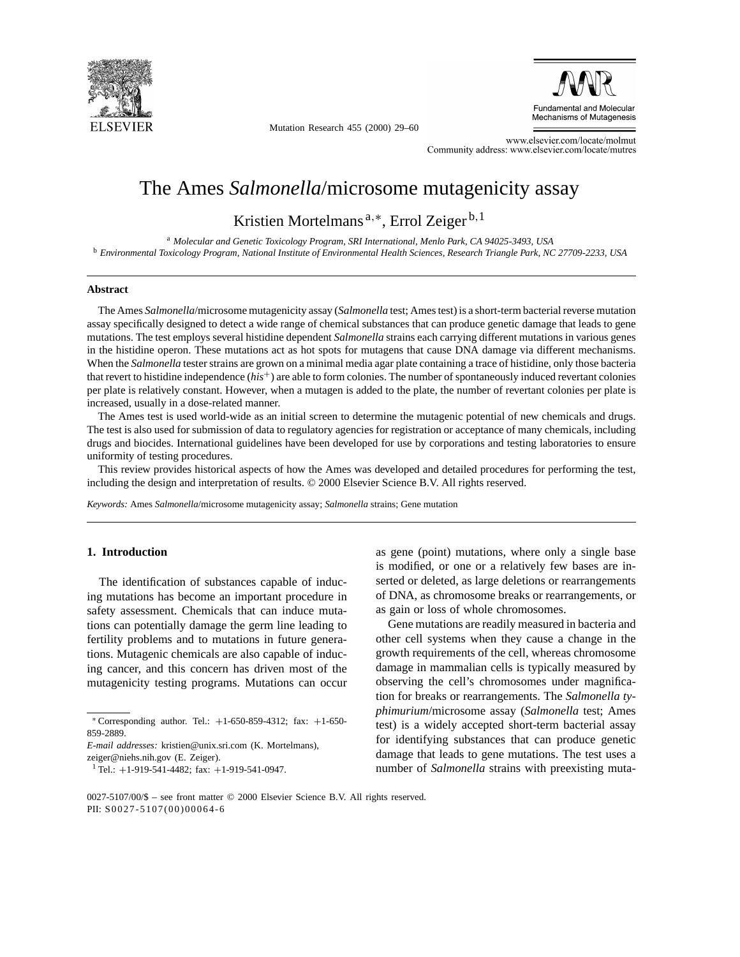

Mutation Research 455 (2000) 29–60



www.elsevier.com/locate/molmut Community address: www.elsevier.com/locate/mutres

# The Ames *Salmonella*/microsome mutagenicity assay

Kristien Mortelmans<sup>a,∗</sup>, Errol Zeiger<sup>b, 1</sup>

<sup>a</sup> *Molecular and Genetic Toxicology Program, SRI International, Menlo Park, CA 94025-3493, USA* <sup>b</sup> *Environmental Toxicology Program, National Institute of Environmental Health Sciences, Research Triangle Park, NC 27709-2233, USA*

#### **Abstract**

The Ames *Salmonella*/microsome mutagenicity assay (*Salmonella* test; Ames test) is a short-term bacterial reverse mutation assay specifically designed to detect a wide range of chemical substances that can produce genetic damage that leads to gene mutations. The test employs several histidine dependent *Salmonella* strains each carrying different mutations in various genes in the histidine operon. These mutations act as hot spots for mutagens that cause DNA damage via different mechanisms. When the *Salmonella* tester strains are grown on a minimal media agar plate containing a trace of histidine, only those bacteria that revert to histidine independence (*his*+) are able to form colonies. The number of spontaneously induced revertant colonies per plate is relatively constant. However, when a mutagen is added to the plate, the number of revertant colonies per plate is increased, usually in a dose-related manner.

The Ames test is used world-wide as an initial screen to determine the mutagenic potential of new chemicals and drugs. The test is also used for submission of data to regulatory agencies for registration or acceptance of many chemicals, including drugs and biocides. International guidelines have been developed for use by corporations and testing laboratories to ensure uniformity of testing procedures.

This review provides historical aspects of how the Ames was developed and detailed procedures for performing the test, including the design and interpretation of results. © 2000 Elsevier Science B.V. All rights reserved.

*Keywords:* Ames *Salmonella*/microsome mutagenicity assay; *Salmonella* strains; Gene mutation

## **1. Introduction**

The identification of substances capable of inducing mutations has become an important procedure in safety assessment. Chemicals that can induce mutations can potentially damage the germ line leading to fertility problems and to mutations in future generations. Mutagenic chemicals are also capable of inducing cancer, and this concern has driven most of the mutagenicity testing programs. Mutations can occur

zeiger@niehs.nih.gov (E. Zeiger).

as gene (point) mutations, where only a single base is modified, or one or a relatively few bases are inserted or deleted, as large deletions or rearrangements of DNA, as chromosome breaks or rearrangements, or as gain or loss of whole chromosomes.

Gene mutations are readily measured in bacteria and other cell systems when they cause a change in the growth requirements of the cell, whereas chromosome damage in mammalian cells is typically measured by observing the cell's chromosomes under magnification for breaks or rearrangements. The *Salmonella typhimurium*/microsome assay (*Salmonella* test; Ames test) is a widely accepted short-term bacterial assay for identifying substances that can produce genetic damage that leads to gene mutations. The test uses a number of *Salmonella* strains with preexisting muta-

<sup>∗</sup> Corresponding author. Tel.: +1-650-859-4312; fax: +1-650- 859-2889.

*E-mail addresses:* kristien@unix.sri.com (K. Mortelmans),

 $1$  Tel.: +1-919-541-4482; fax: +1-919-541-0947.

<sup>0027-5107/00/\$ –</sup> see front matter © 2000 Elsevier Science B.V. All rights reserved. PII: S0027-5107(00)00064-6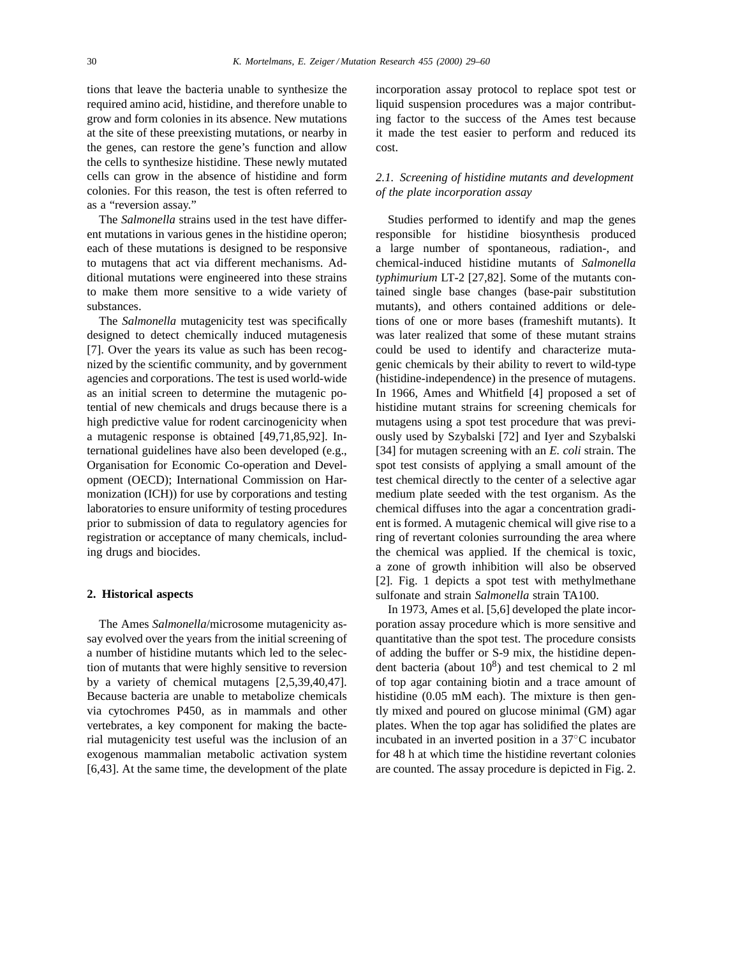tions that leave the bacteria unable to synthesize the required amino acid, histidine, and therefore unable to grow and form colonies in its absence. New mutations at the site of these preexisting mutations, or nearby in the genes, can restore the gene's function and allow the cells to synthesize histidine. These newly mutated cells can grow in the absence of histidine and form colonies. For this reason, the test is often referred to as a "reversion assay."

The *Salmonella* strains used in the test have different mutations in various genes in the histidine operon; each of these mutations is designed to be responsive to mutagens that act via different mechanisms. Additional mutations were engineered into these strains to make them more sensitive to a wide variety of substances.

The *Salmonella* mutagenicity test was specifically designed to detect chemically induced mutagenesis [7]. Over the years its value as such has been recognized by the scientific community, and by government agencies and corporations. The test is used world-wide as an initial screen to determine the mutagenic potential of new chemicals and drugs because there is a high predictive value for rodent carcinogenicity when a mutagenic response is obtained [49,71,85,92]. International guidelines have also been developed (e.g., Organisation for Economic Co-operation and Development (OECD); International Commission on Harmonization (ICH)) for use by corporations and testing laboratories to ensure uniformity of testing procedures prior to submission of data to regulatory agencies for registration or acceptance of many chemicals, including drugs and biocides.

#### **2. Historical aspects**

The Ames *Salmonella*/microsome mutagenicity assay evolved over the years from the initial screening of a number of histidine mutants which led to the selection of mutants that were highly sensitive to reversion by a variety of chemical mutagens [2,5,39,40,47]. Because bacteria are unable to metabolize chemicals via cytochromes P450, as in mammals and other vertebrates, a key component for making the bacterial mutagenicity test useful was the inclusion of an exogenous mammalian metabolic activation system [6,43]. At the same time, the development of the plate

incorporation assay protocol to replace spot test or liquid suspension procedures was a major contributing factor to the success of the Ames test because it made the test easier to perform and reduced its cost.

# *2.1. Screening of histidine mutants and development of the plate incorporation assay*

Studies performed to identify and map the genes responsible for histidine biosynthesis produced a large number of spontaneous, radiation-, and chemical-induced histidine mutants of *Salmonella typhimurium* LT-2 [27,82]. Some of the mutants contained single base changes (base-pair substitution mutants), and others contained additions or deletions of one or more bases (frameshift mutants). It was later realized that some of these mutant strains could be used to identify and characterize mutagenic chemicals by their ability to revert to wild-type (histidine-independence) in the presence of mutagens. In 1966, Ames and Whitfield [4] proposed a set of histidine mutant strains for screening chemicals for mutagens using a spot test procedure that was previously used by Szybalski [72] and Iyer and Szybalski [34] for mutagen screening with an *E. coli* strain. The spot test consists of applying a small amount of the test chemical directly to the center of a selective agar medium plate seeded with the test organism. As the chemical diffuses into the agar a concentration gradient is formed. A mutagenic chemical will give rise to a ring of revertant colonies surrounding the area where the chemical was applied. If the chemical is toxic, a zone of growth inhibition will also be observed [2]. Fig. 1 depicts a spot test with methylmethane sulfonate and strain *Salmonella* strain TA100.

In 1973, Ames et al. [5,6] developed the plate incorporation assay procedure which is more sensitive and quantitative than the spot test. The procedure consists of adding the buffer or S-9 mix, the histidine dependent bacteria (about  $10^8$ ) and test chemical to 2 ml of top agar containing biotin and a trace amount of histidine (0.05 mM each). The mixture is then gently mixed and poured on glucose minimal (GM) agar plates. When the top agar has solidified the plates are incubated in an inverted position in a 37◦C incubator for 48 h at which time the histidine revertant colonies are counted. The assay procedure is depicted in Fig. 2.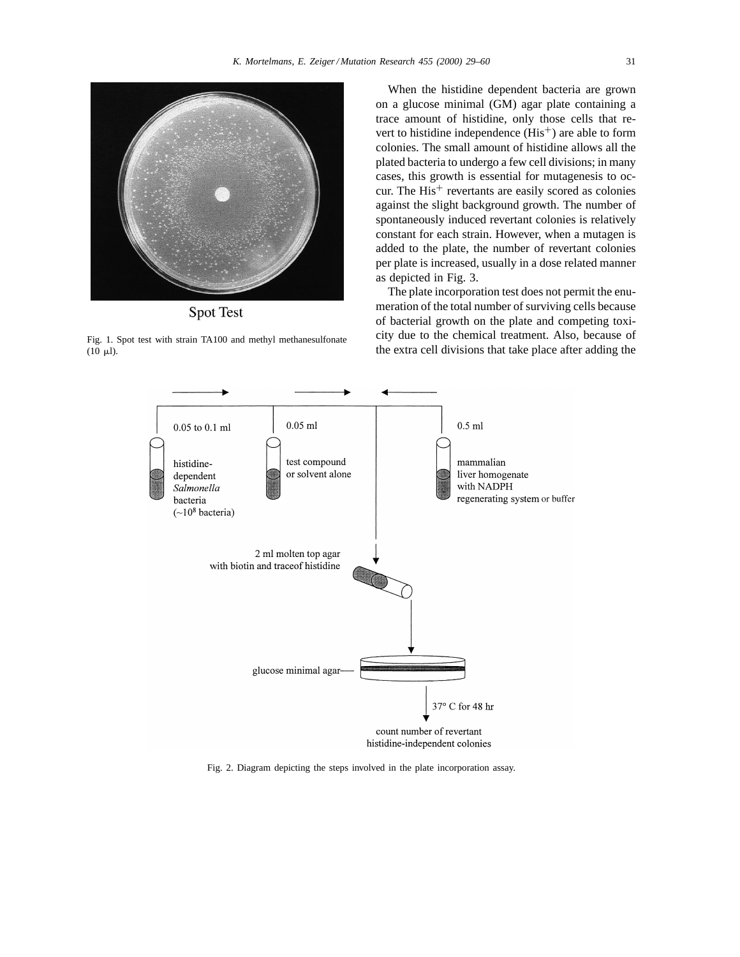

**Spot Test** 

Fig. 1. Spot test with strain TA100 and methyl methanesulfonate  $(10 \mu l)$ .

When the histidine dependent bacteria are grown on a glucose minimal (GM) agar plate containing a trace amount of histidine, only those cells that revert to histidine independence  $(His<sup>+</sup>)$  are able to form colonies. The small amount of histidine allows all the plated bacteria to undergo a few cell divisions; in many cases, this growth is essential for mutagenesis to occur. The  $His<sup>+</sup>$  revertants are easily scored as colonies against the slight background growth. The number of spontaneously induced revertant colonies is relatively constant for each strain. However, when a mutagen is added to the plate, the number of revertant colonies per plate is increased, usually in a dose related manner as depicted in Fig. 3.

The plate incorporation test does not permit the enumeration of the total number of surviving cells because of bacterial growth on the plate and competing toxicity due to the chemical treatment. Also, because of the extra cell divisions that take place after adding the



Fig. 2. Diagram depicting the steps involved in the plate incorporation assay.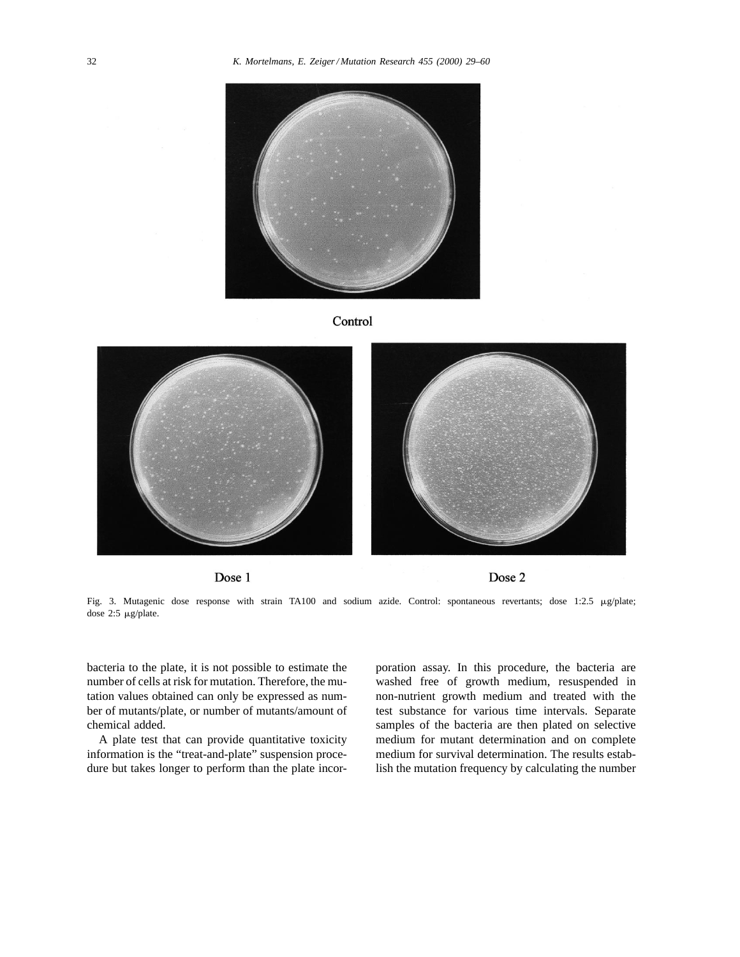





Dose 1

Dose 2

Fig. 3. Mutagenic dose response with strain TA100 and sodium azide. Control: spontaneous revertants; dose 1:2.5  $\mu$ g/plate; dose 2:5 mg/plate.

bacteria to the plate, it is not possible to estimate the number of cells at risk for mutation. Therefore, the mutation values obtained can only be expressed as number of mutants/plate, or number of mutants/amount of chemical added.

A plate test that can provide quantitative toxicity information is the "treat-and-plate" suspension procedure but takes longer to perform than the plate incorporation assay. In this procedure, the bacteria are washed free of growth medium, resuspended in non-nutrient growth medium and treated with the test substance for various time intervals. Separate samples of the bacteria are then plated on selective medium for mutant determination and on complete medium for survival determination. The results establish the mutation frequency by calculating the number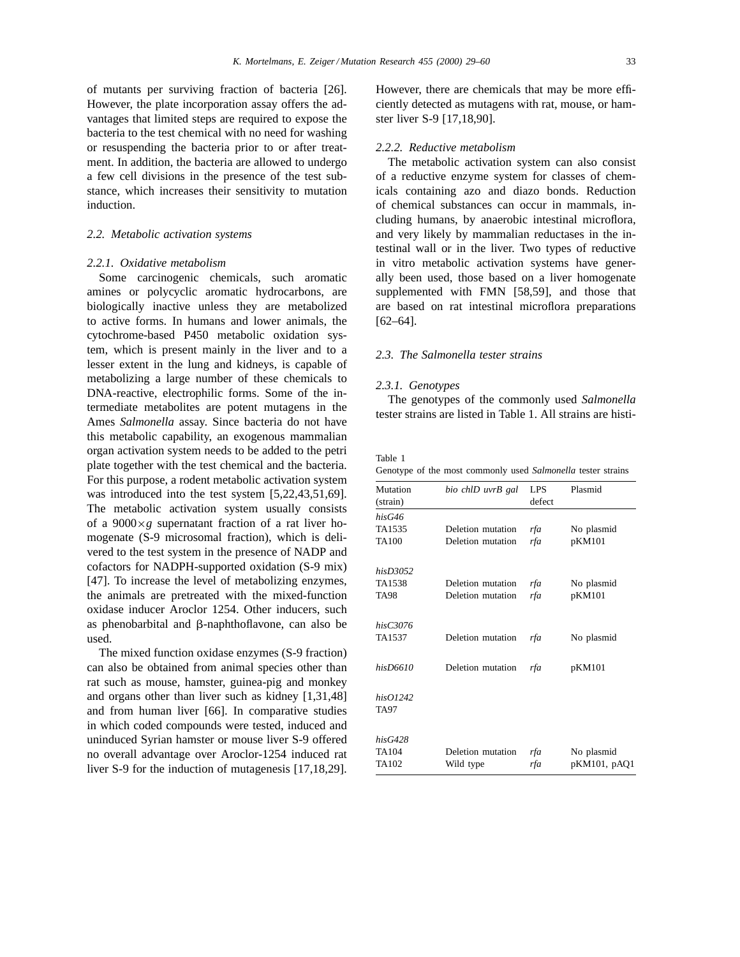of mutants per surviving fraction of bacteria [26]. However, the plate incorporation assay offers the advantages that limited steps are required to expose the bacteria to the test chemical with no need for washing or resuspending the bacteria prior to or after treatment. In addition, the bacteria are allowed to undergo a few cell divisions in the presence of the test substance, which increases their sensitivity to mutation induction.

#### *2.2. Metabolic activation systems*

#### *2.2.1. Oxidative metabolism*

Some carcinogenic chemicals, such aromatic amines or polycyclic aromatic hydrocarbons, are biologically inactive unless they are metabolized to active forms. In humans and lower animals, the cytochrome-based P450 metabolic oxidation system, which is present mainly in the liver and to a lesser extent in the lung and kidneys, is capable of metabolizing a large number of these chemicals to DNA-reactive, electrophilic forms. Some of the intermediate metabolites are potent mutagens in the Ames *Salmonella* assay. Since bacteria do not have this metabolic capability, an exogenous mammalian organ activation system needs to be added to the petri plate together with the test chemical and the bacteria. For this purpose, a rodent metabolic activation system was introduced into the test system [5,22,43,51,69]. The metabolic activation system usually consists of a  $9000 \times g$  supernatant fraction of a rat liver homogenate (S-9 microsomal fraction), which is delivered to the test system in the presence of NADP and cofactors for NADPH-supported oxidation (S-9 mix) [47]. To increase the level of metabolizing enzymes, the animals are pretreated with the mixed-function oxidase inducer Aroclor 1254. Other inducers, such as phenobarbital and  $\beta$ -naphthoflavone, can also be used.

The mixed function oxidase enzymes (S-9 fraction) can also be obtained from animal species other than rat such as mouse, hamster, guinea-pig and monkey and organs other than liver such as kidney [1,31,48] and from human liver [66]. In comparative studies in which coded compounds were tested, induced and uninduced Syrian hamster or mouse liver S-9 offered no overall advantage over Aroclor-1254 induced rat liver S-9 for the induction of mutagenesis [17,18,29].

However, there are chemicals that may be more efficiently detected as mutagens with rat, mouse, or hamster liver S-9 [17,18,90].

## *2.2.2. Reductive metabolism*

The metabolic activation system can also consist of a reductive enzyme system for classes of chemicals containing azo and diazo bonds. Reduction of chemical substances can occur in mammals, including humans, by anaerobic intestinal microflora, and very likely by mammalian reductases in the intestinal wall or in the liver. Two types of reductive in vitro metabolic activation systems have generally been used, those based on a liver homogenate supplemented with FMN [58,59], and those that are based on rat intestinal microflora preparations [62–64].

### *2.3. The Salmonella tester strains*

#### *2.3.1. Genotypes*

The genotypes of the commonly used *Salmonella* tester strains are listed in Table 1. All strains are histi-

Table 1

Genotype of the most commonly used *Salmonella* tester strains

| Mutation<br>(strain) | bio chlD uvrB gal | LPS<br>defect | Plasmid      |
|----------------------|-------------------|---------------|--------------|
| hisG46               |                   |               |              |
| TA1535               | Deletion mutation | rfa           | No plasmid   |
| <b>TA100</b>         | Deletion mutation | rfa           | pKM101       |
| hisD3052             |                   |               |              |
| TA1538               | Deletion mutation | rfa           | No plasmid   |
| <b>TA98</b>          | Deletion mutation | rfa           | pKM101       |
| hisC3076             |                   |               |              |
| TA1537               | Deletion mutation | rfa           | No plasmid   |
| hisD6610             | Deletion mutation | rfa           | pKM101       |
| hisO1242             |                   |               |              |
| TA97                 |                   |               |              |
| hisG428              |                   |               |              |
| <b>TA104</b>         | Deletion mutation | rfa           | No plasmid   |
| TA102                | Wild type         | rfa           | pKM101, pAQ1 |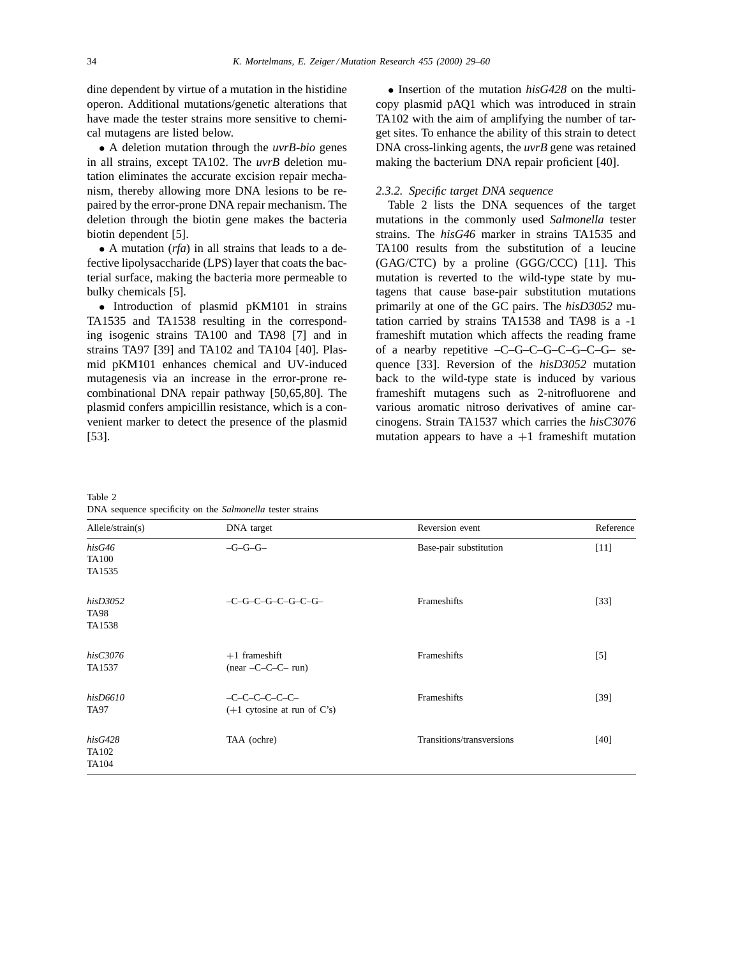dine dependent by virtue of a mutation in the histidine operon. Additional mutations/genetic alterations that have made the tester strains more sensitive to chemical mutagens are listed below.

• A deletion mutation through the *uvrB-bio* genes in all strains, except TA102. The *uvrB* deletion mutation eliminates the accurate excision repair mechanism, thereby allowing more DNA lesions to be repaired by the error-prone DNA repair mechanism. The deletion through the biotin gene makes the bacteria biotin dependent [5].

• A mutation (*rfa*) in all strains that leads to a defective lipolysaccharide (LPS) layer that coats the bacterial surface, making the bacteria more permeable to bulky chemicals [5].

• Introduction of plasmid pKM101 in strains TA1535 and TA1538 resulting in the corresponding isogenic strains TA100 and TA98 [7] and in strains TA97 [39] and TA102 and TA104 [40]. Plasmid pKM101 enhances chemical and UV-induced mutagenesis via an increase in the error-prone recombinational DNA repair pathway [50,65,80]. The plasmid confers ampicillin resistance, which is a convenient marker to detect the presence of the plasmid [53].

• Insertion of the mutation *hisG428* on the multicopy plasmid pAQ1 which was introduced in strain TA102 with the aim of amplifying the number of target sites. To enhance the ability of this strain to detect DNA cross-linking agents, the *uvrB* gene was retained making the bacterium DNA repair proficient [40].

#### *2.3.2. Specific target DNA sequence*

Table 2 lists the DNA sequences of the target mutations in the commonly used *Salmonella* tester strains. The *hisG46* marker in strains TA1535 and TA100 results from the substitution of a leucine (GAG/CTC) by a proline (GGG/CCC) [11]. This mutation is reverted to the wild-type state by mutagens that cause base-pair substitution mutations primarily at one of the GC pairs. The *hisD3052* mutation carried by strains TA1538 and TA98 is a -1 frameshift mutation which affects the reading frame of a nearby repetitive –C–G–C–G–C–G–C–G– sequence [33]. Reversion of the *hisD3052* mutation back to the wild-type state is induced by various frameshift mutagens such as 2-nitrofluorene and various aromatic nitroso derivatives of amine carcinogens. Strain TA1537 which carries the *hisC3076* mutation appears to have  $a +1$  frameshift mutation

Table 2

DNA sequence specificity on the *Salmonella* tester strains

| Allele/strain(s)                  | DNA target                                        | Reversion event           | Reference |
|-----------------------------------|---------------------------------------------------|---------------------------|-----------|
| hisG46<br><b>TA100</b><br>TA1535  | $-G-G-G-$                                         | Base-pair substitution    | $[11]$    |
| hisD3052<br><b>TA98</b><br>TA1538 | $-C-G-C-G-C-G-C-G-C-G$                            | Frameshifts               | $[33]$    |
| hisC3076<br>TA1537                | $+1$ frameshift<br>$(near -C-C-C- run)$           | Frameshifts               | $[5]$     |
| hisD6610<br>TA97                  | $-C-C-C-C-C-C-C$<br>$(+1$ cytosine at run of C's) | Frameshifts               | $[39]$    |
| hisG428<br>TA102<br>TA104         | TAA (ochre)                                       | Transitions/transversions | $[40]$    |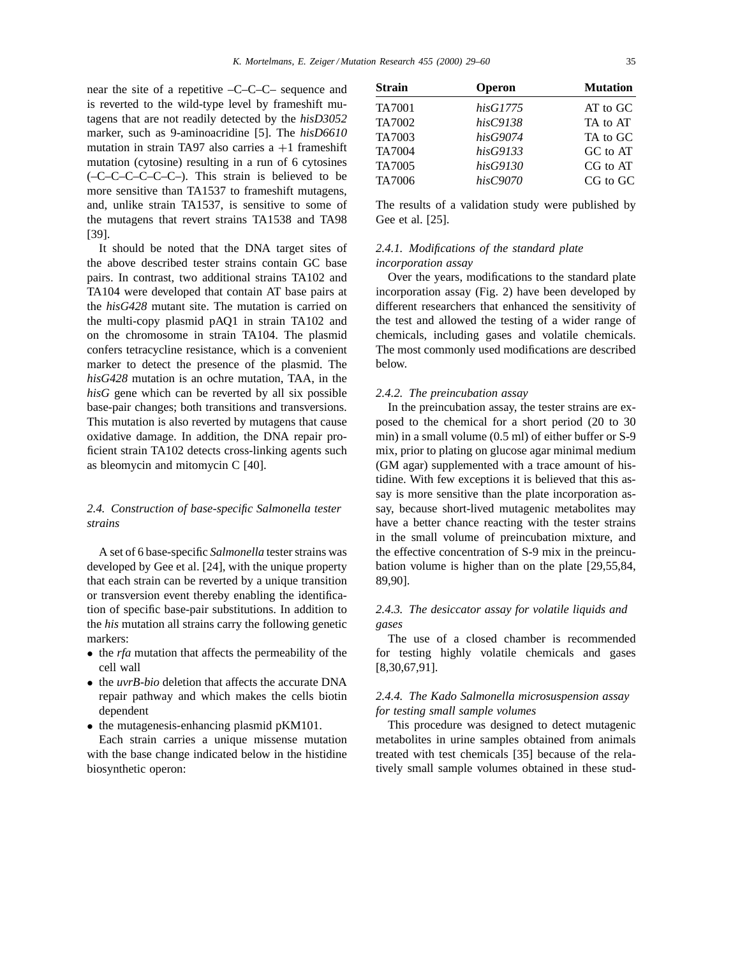near the site of a repetitive –C–C–C– sequence and is reverted to the wild-type level by frameshift mutagens that are not readily detected by the *hisD3052* marker, such as 9-aminoacridine [5]. The *hisD6610* mutation in strain TA97 also carries  $a +1$  frameshift mutation (cytosine) resulting in a run of 6 cytosines (–C–C–C–C–C–C–). This strain is believed to be more sensitive than TA1537 to frameshift mutagens, and, unlike strain TA1537, is sensitive to some of the mutagens that revert strains TA1538 and TA98 [39].

It should be noted that the DNA target sites of the above described tester strains contain GC base pairs. In contrast, two additional strains TA102 and TA104 were developed that contain AT base pairs at the *hisG428* mutant site. The mutation is carried on the multi-copy plasmid pAQ1 in strain TA102 and on the chromosome in strain TA104. The plasmid confers tetracycline resistance, which is a convenient marker to detect the presence of the plasmid. The *hisG428* mutation is an ochre mutation, TAA, in the *hisG* gene which can be reverted by all six possible base-pair changes; both transitions and transversions. This mutation is also reverted by mutagens that cause oxidative damage. In addition, the DNA repair proficient strain TA102 detects cross-linking agents such as bleomycin and mitomycin C [40].

# *2.4. Construction of base-specific Salmonella tester strains*

A set of 6 base-specific *Salmonella* tester strains was developed by Gee et al. [24], with the unique property that each strain can be reverted by a unique transition or transversion event thereby enabling the identification of specific base-pair substitutions. In addition to the *his* mutation all strains carry the following genetic markers:

- the *rfa* mutation that affects the permeability of the cell wall
- the *uvrB-bio* deletion that affects the accurate DNA repair pathway and which makes the cells biotin dependent
- the mutagenesis-enhancing plasmid pKM101.

Each strain carries a unique missense mutation with the base change indicated below in the histidine biosynthetic operon:

| Strain | <b>Operon</b> | <b>Mutation</b> |
|--------|---------------|-----------------|
| TA7001 | hisG1775      | AT to GC        |
| TA7002 | hisC9138      | TA to AT        |
| TA7003 | hisG9074      | TA to GC        |
| TA7004 | hisG9133      | GC to AT        |
| TA7005 | hisG9130      | CG to AT        |
| TA7006 | hisC9070      | CG to GC        |
|        |               |                 |

The results of a validation study were published by Gee et al. [25].

# *2.4.1. Modifications of the standard plate incorporation assay*

Over the years, modifications to the standard plate incorporation assay (Fig. 2) have been developed by different researchers that enhanced the sensitivity of the test and allowed the testing of a wider range of chemicals, including gases and volatile chemicals. The most commonly used modifications are described below.

## *2.4.2. The preincubation assay*

In the preincubation assay, the tester strains are exposed to the chemical for a short period (20 to 30 min) in a small volume (0.5 ml) of either buffer or S-9 mix, prior to plating on glucose agar minimal medium (GM agar) supplemented with a trace amount of histidine. With few exceptions it is believed that this assay is more sensitive than the plate incorporation assay, because short-lived mutagenic metabolites may have a better chance reacting with the tester strains in the small volume of preincubation mixture, and the effective concentration of S-9 mix in the preincubation volume is higher than on the plate [29,55,84, 89,90].

# *2.4.3. The desiccator assay for volatile liquids and gases*

The use of a closed chamber is recommended for testing highly volatile chemicals and gases [8,30,67,91].

# *2.4.4. The Kado Salmonella microsuspension assay for testing small sample volumes*

This procedure was designed to detect mutagenic metabolites in urine samples obtained from animals treated with test chemicals [35] because of the relatively small sample volumes obtained in these stud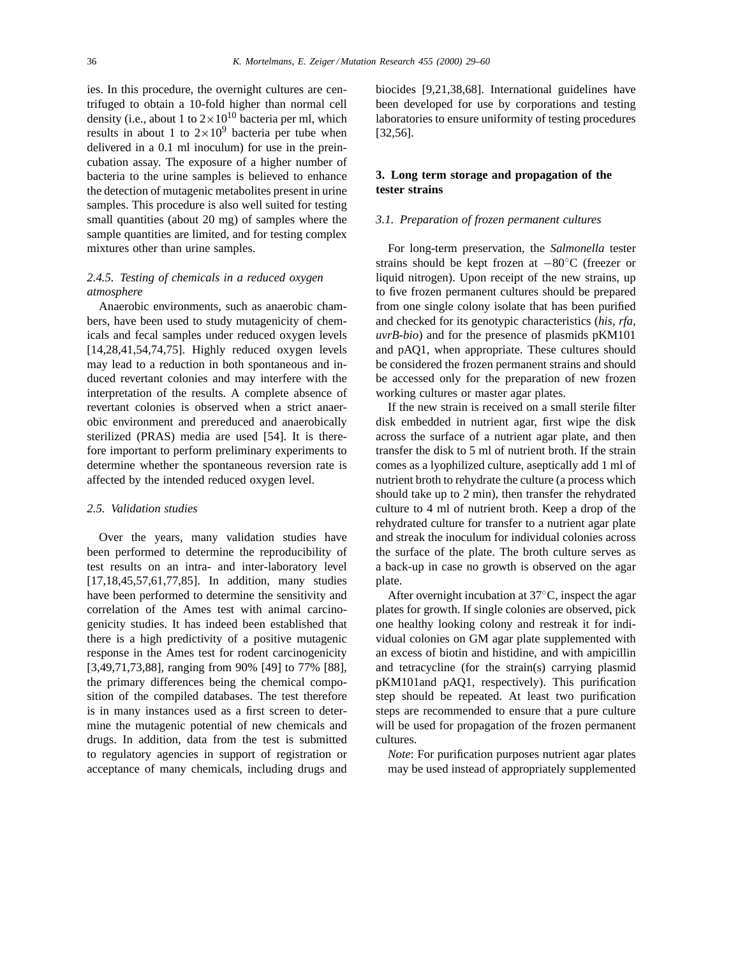ies. In this procedure, the overnight cultures are centrifuged to obtain a 10-fold higher than normal cell density (i.e., about 1 to  $2 \times 10^{10}$  bacteria per ml, which results in about 1 to  $2 \times 10^9$  bacteria per tube when delivered in a 0.1 ml inoculum) for use in the preincubation assay. The exposure of a higher number of bacteria to the urine samples is believed to enhance the detection of mutagenic metabolites present in urine samples. This procedure is also well suited for testing small quantities (about 20 mg) of samples where the sample quantities are limited, and for testing complex mixtures other than urine samples.

# *2.4.5. Testing of chemicals in a reduced oxygen atmosphere*

Anaerobic environments, such as anaerobic chambers, have been used to study mutagenicity of chemicals and fecal samples under reduced oxygen levels [14,28,41,54,74,75]. Highly reduced oxygen levels may lead to a reduction in both spontaneous and induced revertant colonies and may interfere with the interpretation of the results. A complete absence of revertant colonies is observed when a strict anaerobic environment and prereduced and anaerobically sterilized (PRAS) media are used [54]. It is therefore important to perform preliminary experiments to determine whether the spontaneous reversion rate is affected by the intended reduced oxygen level.

#### *2.5. Validation studies*

Over the years, many validation studies have been performed to determine the reproducibility of test results on an intra- and inter-laboratory level [17,18,45,57,61,77,85]. In addition, many studies have been performed to determine the sensitivity and correlation of the Ames test with animal carcinogenicity studies. It has indeed been established that there is a high predictivity of a positive mutagenic response in the Ames test for rodent carcinogenicity [3,49,71,73,88], ranging from 90% [49] to 77% [88], the primary differences being the chemical composition of the compiled databases. The test therefore is in many instances used as a first screen to determine the mutagenic potential of new chemicals and drugs. In addition, data from the test is submitted to regulatory agencies in support of registration or acceptance of many chemicals, including drugs and

biocides [9,21,38,68]. International guidelines have been developed for use by corporations and testing laboratories to ensure uniformity of testing procedures [32,56].

# **3. Long term storage and propagation of the tester strains**

## *3.1. Preparation of frozen permanent cultures*

For long-term preservation, the *Salmonella* tester strains should be kept frozen at −80◦C (freezer or liquid nitrogen). Upon receipt of the new strains, up to five frozen permanent cultures should be prepared from one single colony isolate that has been purified and checked for its genotypic characteristics (*his*, *rfa*, *uvrB-bio*) and for the presence of plasmids pKM101 and pAQ1, when appropriate. These cultures should be considered the frozen permanent strains and should be accessed only for the preparation of new frozen working cultures or master agar plates.

If the new strain is received on a small sterile filter disk embedded in nutrient agar, first wipe the disk across the surface of a nutrient agar plate, and then transfer the disk to 5 ml of nutrient broth. If the strain comes as a lyophilized culture, aseptically add 1 ml of nutrient broth to rehydrate the culture (a process which should take up to 2 min), then transfer the rehydrated culture to 4 ml of nutrient broth. Keep a drop of the rehydrated culture for transfer to a nutrient agar plate and streak the inoculum for individual colonies across the surface of the plate. The broth culture serves as a back-up in case no growth is observed on the agar plate.

After overnight incubation at 37◦C, inspect the agar plates for growth. If single colonies are observed, pick one healthy looking colony and restreak it for individual colonies on GM agar plate supplemented with an excess of biotin and histidine, and with ampicillin and tetracycline (for the strain(s) carrying plasmid pKM101and pAQ1, respectively). This purification step should be repeated. At least two purification steps are recommended to ensure that a pure culture will be used for propagation of the frozen permanent cultures.

*Note*: For purification purposes nutrient agar plates may be used instead of appropriately supplemented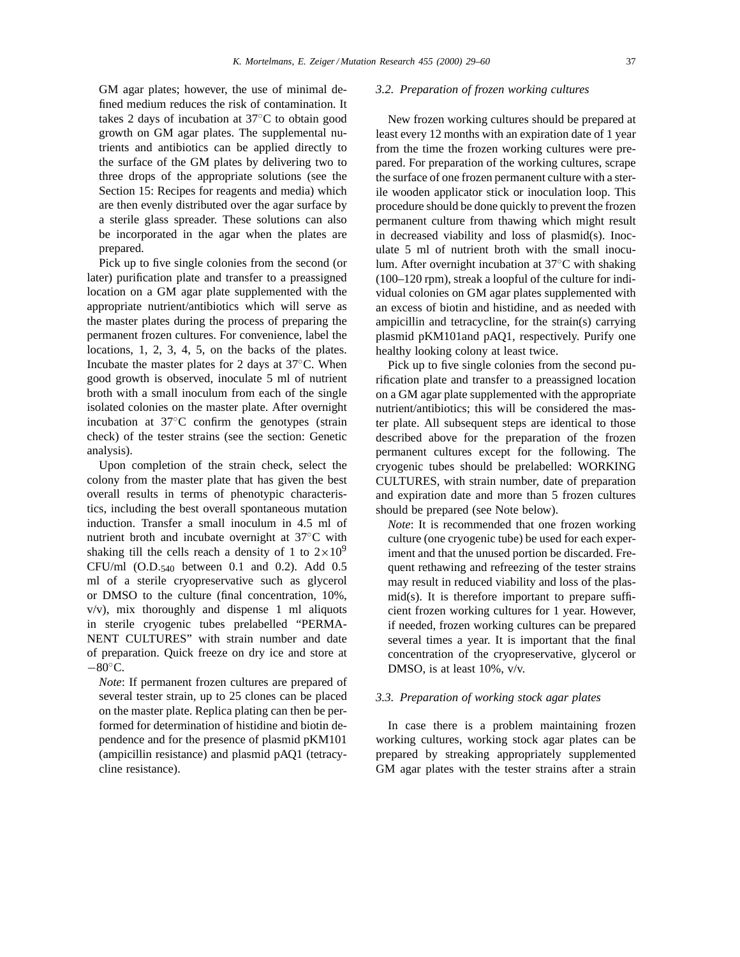GM agar plates; however, the use of minimal defined medium reduces the risk of contamination. It takes 2 days of incubation at 37◦C to obtain good growth on GM agar plates. The supplemental nutrients and antibiotics can be applied directly to the surface of the GM plates by delivering two to three drops of the appropriate solutions (see the Section 15: Recipes for reagents and media) which are then evenly distributed over the agar surface by a sterile glass spreader. These solutions can also be incorporated in the agar when the plates are prepared.

Pick up to five single colonies from the second (or later) purification plate and transfer to a preassigned location on a GM agar plate supplemented with the appropriate nutrient/antibiotics which will serve as the master plates during the process of preparing the permanent frozen cultures. For convenience, label the locations, 1, 2, 3, 4, 5, on the backs of the plates. Incubate the master plates for 2 days at 37◦C. When good growth is observed, inoculate 5 ml of nutrient broth with a small inoculum from each of the single isolated colonies on the master plate. After overnight incubation at 37◦C confirm the genotypes (strain check) of the tester strains (see the section: Genetic analysis).

Upon completion of the strain check, select the colony from the master plate that has given the best overall results in terms of phenotypic characteristics, including the best overall spontaneous mutation induction. Transfer a small inoculum in 4.5 ml of nutrient broth and incubate overnight at 37◦C with shaking till the cells reach a density of 1 to  $2 \times 10^9$ CFU/ml  $(O.D.540$  between 0.1 and 0.2). Add 0.5 ml of a sterile cryopreservative such as glycerol or DMSO to the culture (final concentration, 10%, v/v), mix thoroughly and dispense 1 ml aliquots in sterile cryogenic tubes prelabelled "PERMA-NENT CULTURES" with strain number and date of preparation. Quick freeze on dry ice and store at  $-80^\circ$ C.

*Note*: If permanent frozen cultures are prepared of several tester strain, up to 25 clones can be placed on the master plate. Replica plating can then be performed for determination of histidine and biotin dependence and for the presence of plasmid pKM101 (ampicillin resistance) and plasmid pAQ1 (tetracycline resistance).

#### *3.2. Preparation of frozen working cultures*

New frozen working cultures should be prepared at least every 12 months with an expiration date of 1 year from the time the frozen working cultures were prepared. For preparation of the working cultures, scrape the surface of one frozen permanent culture with a sterile wooden applicator stick or inoculation loop. This procedure should be done quickly to prevent the frozen permanent culture from thawing which might result in decreased viability and loss of plasmid(s). Inoculate 5 ml of nutrient broth with the small inoculum. After overnight incubation at 37◦C with shaking (100–120 rpm), streak a loopful of the culture for individual colonies on GM agar plates supplemented with an excess of biotin and histidine, and as needed with ampicillin and tetracycline, for the strain(s) carrying plasmid pKM101and pAQ1, respectively. Purify one healthy looking colony at least twice.

Pick up to five single colonies from the second purification plate and transfer to a preassigned location on a GM agar plate supplemented with the appropriate nutrient/antibiotics; this will be considered the master plate. All subsequent steps are identical to those described above for the preparation of the frozen permanent cultures except for the following. The cryogenic tubes should be prelabelled: WORKING CULTURES, with strain number, date of preparation and expiration date and more than 5 frozen cultures should be prepared (see Note below).

*Note*: It is recommended that one frozen working culture (one cryogenic tube) be used for each experiment and that the unused portion be discarded. Frequent rethawing and refreezing of the tester strains may result in reduced viability and loss of the plasmid(s). It is therefore important to prepare sufficient frozen working cultures for 1 year. However, if needed, frozen working cultures can be prepared several times a year. It is important that the final concentration of the cryopreservative, glycerol or DMSO, is at least 10%, v/v.

# *3.3. Preparation of working stock agar plates*

In case there is a problem maintaining frozen working cultures, working stock agar plates can be prepared by streaking appropriately supplemented GM agar plates with the tester strains after a strain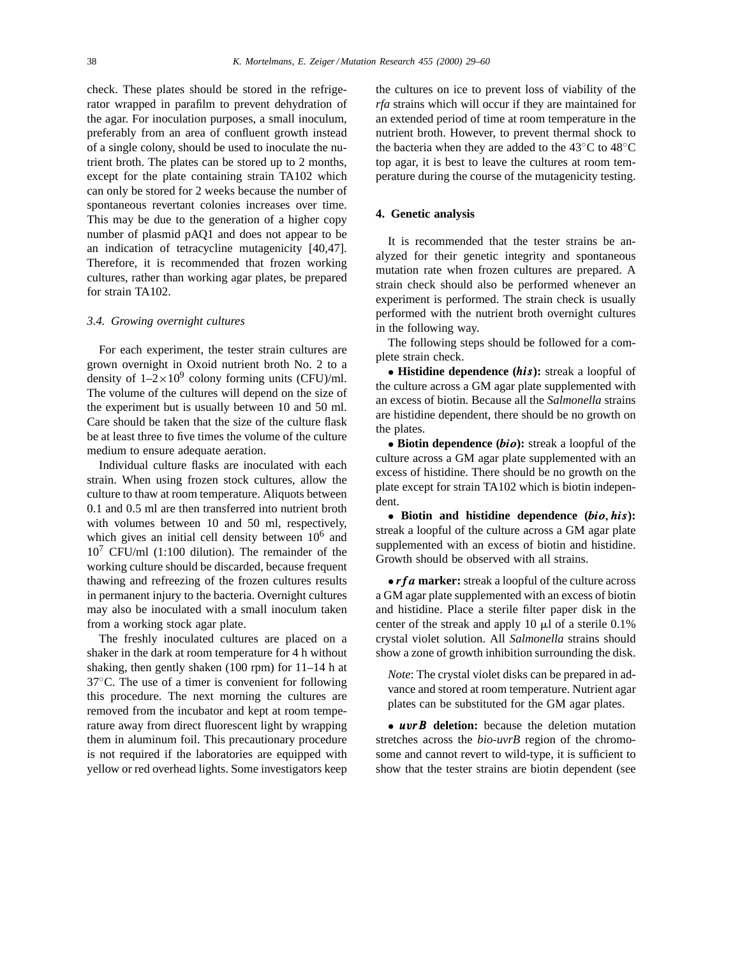check. These plates should be stored in the refrigerator wrapped in parafilm to prevent dehydration of the agar. For inoculation purposes, a small inoculum, preferably from an area of confluent growth instead of a single colony, should be used to inoculate the nutrient broth. The plates can be stored up to 2 months, except for the plate containing strain TA102 which can only be stored for 2 weeks because the number of spontaneous revertant colonies increases over time. This may be due to the generation of a higher copy number of plasmid pAQ1 and does not appear to be an indication of tetracycline mutagenicity [40,47]. Therefore, it is recommended that frozen working cultures, rather than working agar plates, be prepared for strain TA102.

#### *3.4. Growing overnight cultures*

For each experiment, the tester strain cultures are grown overnight in Oxoid nutrient broth No. 2 to a density of  $1-2\times10^9$  colony forming units (CFU)/ml. The volume of the cultures will depend on the size of the experiment but is usually between 10 and 50 ml. Care should be taken that the size of the culture flask be at least three to five times the volume of the culture medium to ensure adequate aeration.

Individual culture flasks are inoculated with each strain. When using frozen stock cultures, allow the culture to thaw at room temperature. Aliquots between 0.1 and 0.5 ml are then transferred into nutrient broth with volumes between 10 and 50 ml, respectively, which gives an initial cell density between  $10<sup>6</sup>$  and  $10^7$  CFU/ml (1:100 dilution). The remainder of the working culture should be discarded, because frequent thawing and refreezing of the frozen cultures results in permanent injury to the bacteria. Overnight cultures may also be inoculated with a small inoculum taken from a working stock agar plate.

The freshly inoculated cultures are placed on a shaker in the dark at room temperature for 4 h without shaking, then gently shaken (100 rpm) for 11–14 h at 37◦C. The use of a timer is convenient for following this procedure. The next morning the cultures are removed from the incubator and kept at room temperature away from direct fluorescent light by wrapping them in aluminum foil. This precautionary procedure is not required if the laboratories are equipped with yellow or red overhead lights. Some investigators keep the cultures on ice to prevent loss of viability of the *rfa* strains which will occur if they are maintained for an extended period of time at room temperature in the nutrient broth. However, to prevent thermal shock to the bacteria when they are added to the 43◦C to 48◦C top agar, it is best to leave the cultures at room temperature during the course of the mutagenicity testing.

### **4. Genetic analysis**

It is recommended that the tester strains be analyzed for their genetic integrity and spontaneous mutation rate when frozen cultures are prepared. A strain check should also be performed whenever an experiment is performed. The strain check is usually performed with the nutrient broth overnight cultures in the following way.

The following steps should be followed for a complete strain check.

• **Histidine dependence (**his**):** streak a loopful of the culture across a GM agar plate supplemented with an excess of biotin. Because all the *Salmonella* strains are histidine dependent, there should be no growth on the plates.

• **Biotin dependence (**bio**):** streak a loopful of the culture across a GM agar plate supplemented with an excess of histidine. There should be no growth on the plate except for strain TA102 which is biotin independent.

• **Biotin and histidine dependence (**bio, his**):** streak a loopful of the culture across a GM agar plate supplemented with an excess of biotin and histidine. Growth should be observed with all strains.

• *rfa* marker: streak a loopful of the culture across a GM agar plate supplemented with an excess of biotin and histidine. Place a sterile filter paper disk in the center of the streak and apply 10  $\mu$ l of a sterile 0.1% crystal violet solution. All *Salmonella* strains should show a zone of growth inhibition surrounding the disk.

*Note*: The crystal violet disks can be prepared in advance and stored at room temperature. Nutrient agar plates can be substituted for the GM agar plates.

• uvrB **deletion:** because the deletion mutation stretches across the *bio-uvrB* region of the chromosome and cannot revert to wild-type, it is sufficient to show that the tester strains are biotin dependent (see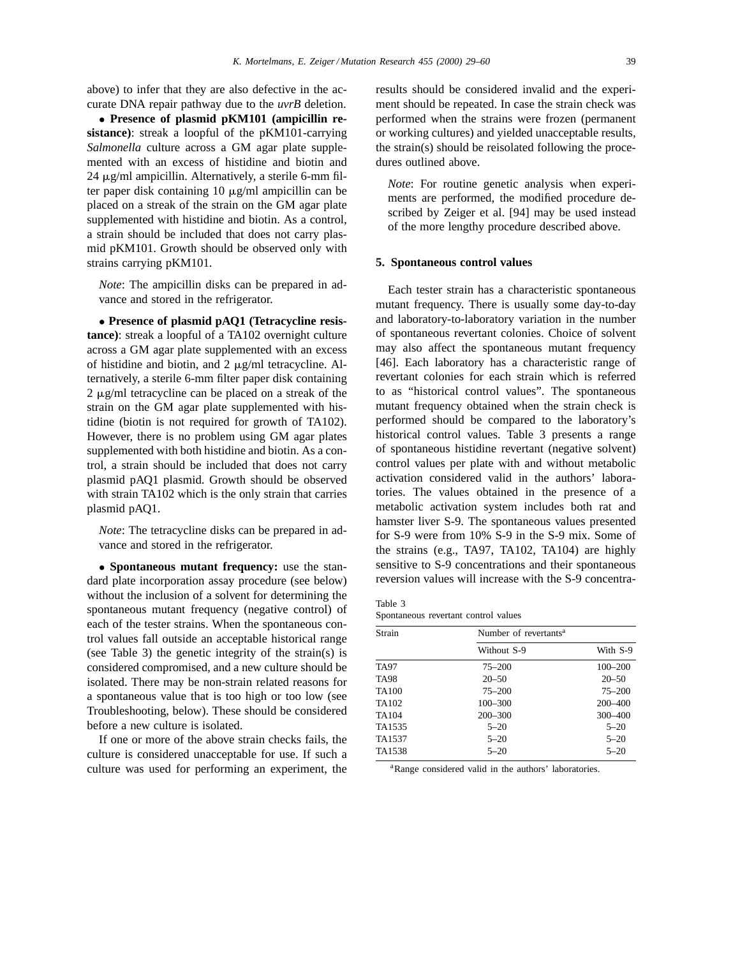above) to infer that they are also defective in the accurate DNA repair pathway due to the *uvrB* deletion.

• **Presence of plasmid pKM101 (ampicillin resistance)**: streak a loopful of the pKM101-carrying *Salmonella* culture across a GM agar plate supplemented with an excess of histidine and biotin and  $24 \mu$ g/ml ampicillin. Alternatively, a sterile 6-mm filter paper disk containing 10  $\mu$ g/ml ampicillin can be placed on a streak of the strain on the GM agar plate supplemented with histidine and biotin. As a control, a strain should be included that does not carry plasmid pKM101. Growth should be observed only with strains carrying pKM101.

*Note*: The ampicillin disks can be prepared in advance and stored in the refrigerator.

• **Presence of plasmid pAQ1 (Tetracycline resistance)**: streak a loopful of a TA102 overnight culture across a GM agar plate supplemented with an excess of histidine and biotin, and  $2 \mu g/ml$  tetracycline. Alternatively, a sterile 6-mm filter paper disk containing  $2 \mu g/ml$  tetracycline can be placed on a streak of the strain on the GM agar plate supplemented with histidine (biotin is not required for growth of TA102). However, there is no problem using GM agar plates supplemented with both histidine and biotin. As a control, a strain should be included that does not carry plasmid pAQ1 plasmid. Growth should be observed with strain TA102 which is the only strain that carries plasmid pAQ1.

*Note*: The tetracycline disks can be prepared in advance and stored in the refrigerator.

• **Spontaneous mutant frequency:** use the standard plate incorporation assay procedure (see below) without the inclusion of a solvent for determining the spontaneous mutant frequency (negative control) of each of the tester strains. When the spontaneous control values fall outside an acceptable historical range (see Table 3) the genetic integrity of the strain(s) is considered compromised, and a new culture should be isolated. There may be non-strain related reasons for a spontaneous value that is too high or too low (see Troubleshooting, below). These should be considered before a new culture is isolated.

If one or more of the above strain checks fails, the culture is considered unacceptable for use. If such a culture was used for performing an experiment, the results should be considered invalid and the experiment should be repeated. In case the strain check was performed when the strains were frozen (permanent or working cultures) and yielded unacceptable results, the strain(s) should be reisolated following the procedures outlined above.

*Note*: For routine genetic analysis when experiments are performed, the modified procedure described by Zeiger et al. [94] may be used instead of the more lengthy procedure described above.

#### **5. Spontaneous control values**

Each tester strain has a characteristic spontaneous mutant frequency. There is usually some day-to-day and laboratory-to-laboratory variation in the number of spontaneous revertant colonies. Choice of solvent may also affect the spontaneous mutant frequency [46]. Each laboratory has a characteristic range of revertant colonies for each strain which is referred to as "historical control values". The spontaneous mutant frequency obtained when the strain check is performed should be compared to the laboratory's historical control values. Table 3 presents a range of spontaneous histidine revertant (negative solvent) control values per plate with and without metabolic activation considered valid in the authors' laboratories. The values obtained in the presence of a metabolic activation system includes both rat and hamster liver S-9. The spontaneous values presented for S-9 were from 10% S-9 in the S-9 mix. Some of the strains (e.g., TA97, TA102, TA104) are highly sensitive to S-9 concentrations and their spontaneous reversion values will increase with the S-9 concentra-

Table 3 Spontaneous revertant control values

| Strain            | Number of revertants <sup>a</sup> |             |  |
|-------------------|-----------------------------------|-------------|--|
|                   | Without S-9                       | With S-9    |  |
| <b>TA97</b>       | $75 - 200$                        | $100 - 200$ |  |
| <b>TA98</b>       | $20 - 50$                         | $20 - 50$   |  |
| <b>TA100</b>      | $75 - 200$                        | $75 - 200$  |  |
| TA <sub>102</sub> | $100 - 300$                       | $200 - 400$ |  |
| TA104             | $200 - 300$                       | 300-400     |  |
| TA1535            | $5 - 20$                          | $5 - 20$    |  |
| TA1537            | $5 - 20$                          | $5 - 20$    |  |
| TA1538            | $5 - 20$                          | $5 - 20$    |  |

<sup>a</sup>Range considered valid in the authors' laboratories.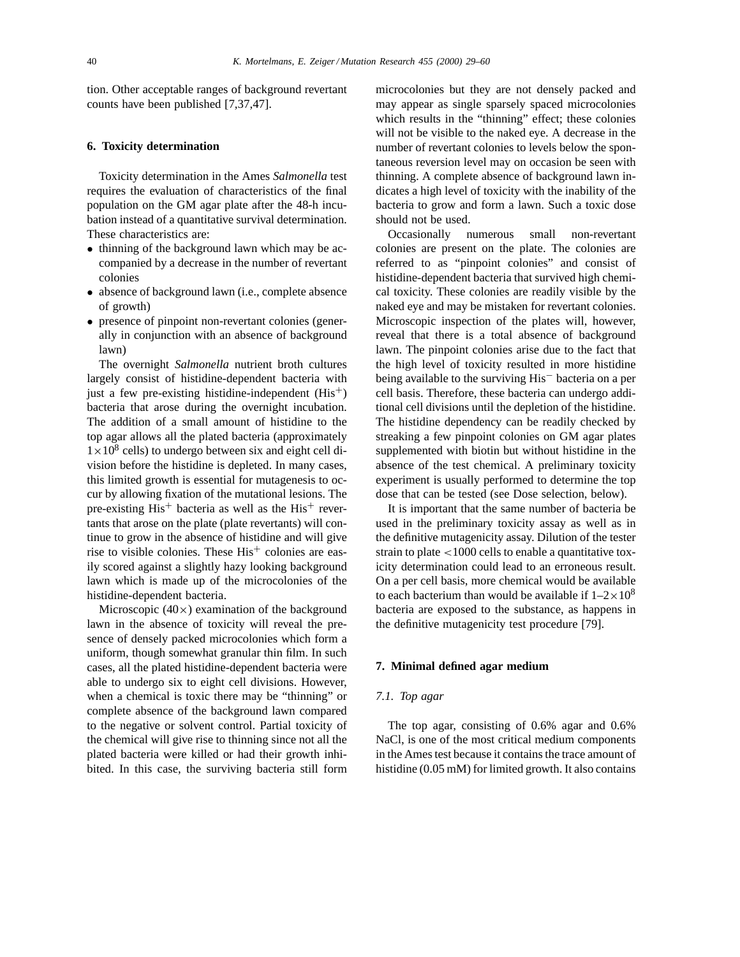tion. Other acceptable ranges of background revertant counts have been published [7,37,47].

## **6. Toxicity determination**

Toxicity determination in the Ames *Salmonella* test requires the evaluation of characteristics of the final population on the GM agar plate after the 48-h incubation instead of a quantitative survival determination. These characteristics are:

- thinning of the background lawn which may be accompanied by a decrease in the number of revertant colonies
- absence of background lawn (i.e., complete absence of growth)
- presence of pinpoint non-revertant colonies (generally in conjunction with an absence of background lawn)

The overnight *Salmonella* nutrient broth cultures largely consist of histidine-dependent bacteria with just a few pre-existing histidine-independent  $(His<sup>+</sup>)$ bacteria that arose during the overnight incubation. The addition of a small amount of histidine to the top agar allows all the plated bacteria (approximately  $1 \times 10^8$  cells) to undergo between six and eight cell division before the histidine is depleted. In many cases, this limited growth is essential for mutagenesis to occur by allowing fixation of the mutational lesions. The pre-existing  $His<sup>+</sup> bacteria as well as the  $His<sup>+</sup>$  rever$ tants that arose on the plate (plate revertants) will continue to grow in the absence of histidine and will give rise to visible colonies. These  $His<sup>+</sup>$  colonies are easily scored against a slightly hazy looking background lawn which is made up of the microcolonies of the histidine-dependent bacteria.

Microscopic (40×) examination of the background lawn in the absence of toxicity will reveal the presence of densely packed microcolonies which form a uniform, though somewhat granular thin film. In such cases, all the plated histidine-dependent bacteria were able to undergo six to eight cell divisions. However, when a chemical is toxic there may be "thinning" or complete absence of the background lawn compared to the negative or solvent control. Partial toxicity of the chemical will give rise to thinning since not all the plated bacteria were killed or had their growth inhibited. In this case, the surviving bacteria still form

microcolonies but they are not densely packed and may appear as single sparsely spaced microcolonies which results in the "thinning" effect; these colonies will not be visible to the naked eye. A decrease in the number of revertant colonies to levels below the spontaneous reversion level may on occasion be seen with thinning. A complete absence of background lawn indicates a high level of toxicity with the inability of the bacteria to grow and form a lawn. Such a toxic dose should not be used.

Occasionally numerous small non-revertant colonies are present on the plate. The colonies are referred to as "pinpoint colonies" and consist of histidine-dependent bacteria that survived high chemical toxicity. These colonies are readily visible by the naked eye and may be mistaken for revertant colonies. Microscopic inspection of the plates will, however, reveal that there is a total absence of background lawn. The pinpoint colonies arise due to the fact that the high level of toxicity resulted in more histidine being available to the surviving His− bacteria on a per cell basis. Therefore, these bacteria can undergo additional cell divisions until the depletion of the histidine. The histidine dependency can be readily checked by streaking a few pinpoint colonies on GM agar plates supplemented with biotin but without histidine in the absence of the test chemical. A preliminary toxicity experiment is usually performed to determine the top dose that can be tested (see Dose selection, below).

It is important that the same number of bacteria be used in the preliminary toxicity assay as well as in the definitive mutagenicity assay. Dilution of the tester strain to plate <1000 cells to enable a quantitative toxicity determination could lead to an erroneous result. On a per cell basis, more chemical would be available to each bacterium than would be available if  $1-2\times10^8$ bacteria are exposed to the substance, as happens in the definitive mutagenicity test procedure [79].

## **7. Minimal defined agar medium**

## *7.1. Top agar*

The top agar, consisting of 0.6% agar and 0.6% NaCl, is one of the most critical medium components in the Ames test because it contains the trace amount of histidine (0.05 mM) for limited growth. It also contains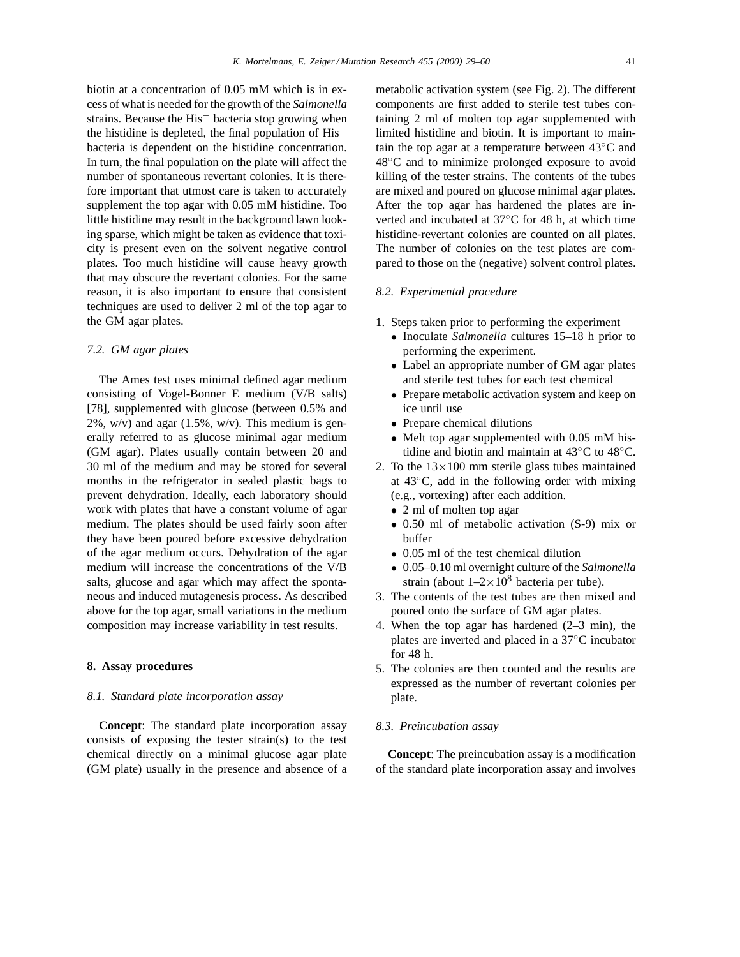biotin at a concentration of 0.05 mM which is in excess of what is needed for the growth of the *Salmonella* strains. Because the His− bacteria stop growing when the histidine is depleted, the final population of His− bacteria is dependent on the histidine concentration. In turn, the final population on the plate will affect the number of spontaneous revertant colonies. It is therefore important that utmost care is taken to accurately supplement the top agar with 0.05 mM histidine. Too little histidine may result in the background lawn looking sparse, which might be taken as evidence that toxicity is present even on the solvent negative control plates. Too much histidine will cause heavy growth that may obscure the revertant colonies. For the same reason, it is also important to ensure that consistent techniques are used to deliver 2 ml of the top agar to the GM agar plates.

#### *7.2. GM agar plates*

The Ames test uses minimal defined agar medium consisting of Vogel-Bonner E medium (V/B salts) [78], supplemented with glucose (between 0.5% and  $2\%$ , w/v) and agar (1.5%, w/v). This medium is generally referred to as glucose minimal agar medium (GM agar). Plates usually contain between 20 and 30 ml of the medium and may be stored for several months in the refrigerator in sealed plastic bags to prevent dehydration. Ideally, each laboratory should work with plates that have a constant volume of agar medium. The plates should be used fairly soon after they have been poured before excessive dehydration of the agar medium occurs. Dehydration of the agar medium will increase the concentrations of the V/B salts, glucose and agar which may affect the spontaneous and induced mutagenesis process. As described above for the top agar, small variations in the medium composition may increase variability in test results.

# **8. Assay procedures**

## *8.1. Standard plate incorporation assay*

**Concept**: The standard plate incorporation assay consists of exposing the tester strain(s) to the test chemical directly on a minimal glucose agar plate (GM plate) usually in the presence and absence of a

metabolic activation system (see Fig. 2). The different components are first added to sterile test tubes containing 2 ml of molten top agar supplemented with limited histidine and biotin. It is important to maintain the top agar at a temperature between 43◦C and 48◦C and to minimize prolonged exposure to avoid killing of the tester strains. The contents of the tubes are mixed and poured on glucose minimal agar plates. After the top agar has hardened the plates are inverted and incubated at 37◦C for 48 h, at which time histidine-revertant colonies are counted on all plates. The number of colonies on the test plates are compared to those on the (negative) solvent control plates.

# *8.2. Experimental procedure*

- 1. Steps taken prior to performing the experiment
	- Inoculate *Salmonella* cultures 15–18 h prior to performing the experiment.
	- Label an appropriate number of GM agar plates and sterile test tubes for each test chemical
	- Prepare metabolic activation system and keep on ice until use
	- Prepare chemical dilutions
	- Melt top agar supplemented with 0.05 mM histidine and biotin and maintain at 43◦C to 48◦C.
- 2. To the  $13 \times 100$  mm sterile glass tubes maintained at 43◦C, add in the following order with mixing (e.g., vortexing) after each addition.
	- 2 ml of molten top agar
	- 0.50 ml of metabolic activation (S-9) mix or buffer
	- 0.05 ml of the test chemical dilution
	- 0.05–0.10 ml overnight culture of the *Salmonella* strain (about  $1-2\times10^8$  bacteria per tube).
- 3. The contents of the test tubes are then mixed and poured onto the surface of GM agar plates.
- 4. When the top agar has hardened (2–3 min), the plates are inverted and placed in a 37◦C incubator for 48 h.
- 5. The colonies are then counted and the results are expressed as the number of revertant colonies per plate.

#### *8.3. Preincubation assay*

**Concept**: The preincubation assay is a modification of the standard plate incorporation assay and involves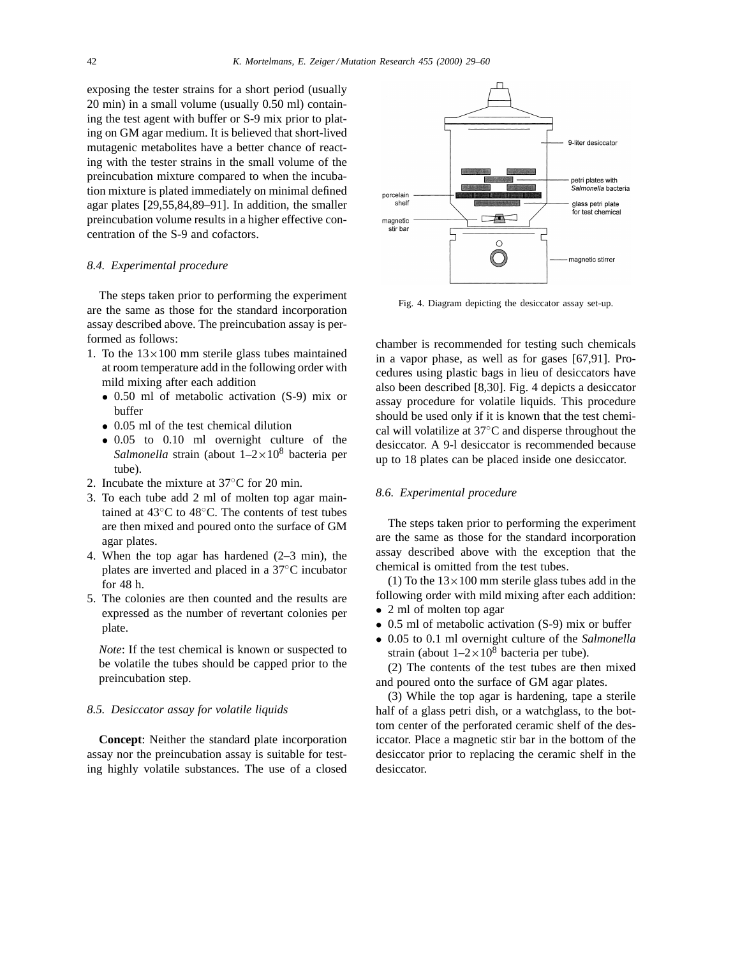exposing the tester strains for a short period (usually 20 min) in a small volume (usually 0.50 ml) containing the test agent with buffer or S-9 mix prior to plating on GM agar medium. It is believed that short-lived mutagenic metabolites have a better chance of reacting with the tester strains in the small volume of the preincubation mixture compared to when the incubation mixture is plated immediately on minimal defined agar plates [29,55,84,89–91]. In addition, the smaller preincubation volume results in a higher effective concentration of the S-9 and cofactors.

## *8.4. Experimental procedure*

The steps taken prior to performing the experiment are the same as those for the standard incorporation assay described above. The preincubation assay is performed as follows:

- 1. To the  $13\times100$  mm sterile glass tubes maintained at room temperature add in the following order with mild mixing after each addition
	- 0.50 ml of metabolic activation (S-9) mix or buffer
	- 0.05 ml of the test chemical dilution
	- 0.05 to 0.10 ml overnight culture of the *Salmonella* strain (about  $1-2\times10^8$  bacteria per tube).
- 2. Incubate the mixture at 37◦C for 20 min.
- 3. To each tube add 2 ml of molten top agar maintained at 43◦C to 48◦C. The contents of test tubes are then mixed and poured onto the surface of GM agar plates.
- 4. When the top agar has hardened (2–3 min), the plates are inverted and placed in a 37◦C incubator for 48 h.
- 5. The colonies are then counted and the results are expressed as the number of revertant colonies per plate.

*Note*: If the test chemical is known or suspected to be volatile the tubes should be capped prior to the preincubation step.

# *8.5. Desiccator assay for volatile liquids*

**Concept**: Neither the standard plate incorporation assay nor the preincubation assay is suitable for testing highly volatile substances. The use of a closed



Fig. 4. Diagram depicting the desiccator assay set-up.

chamber is recommended for testing such chemicals in a vapor phase, as well as for gases [67,91]. Procedures using plastic bags in lieu of desiccators have also been described [8,30]. Fig. 4 depicts a desiccator assay procedure for volatile liquids. This procedure should be used only if it is known that the test chemical will volatilize at 37◦C and disperse throughout the desiccator. A 9-l desiccator is recommended because up to 18 plates can be placed inside one desiccator.

# *8.6. Experimental procedure*

The steps taken prior to performing the experiment are the same as those for the standard incorporation assay described above with the exception that the chemical is omitted from the test tubes.

(1) To the  $13 \times 100$  mm sterile glass tubes add in the following order with mild mixing after each addition: • 2 ml of molten top agar

- 
- 0.5 ml of metabolic activation (S-9) mix or buffer
- 0.05 to 0.1 ml overnight culture of the *Salmonella* strain (about  $1-2\times10^8$  bacteria per tube).

(2) The contents of the test tubes are then mixed and poured onto the surface of GM agar plates.

(3) While the top agar is hardening, tape a sterile half of a glass petri dish, or a watchglass, to the bottom center of the perforated ceramic shelf of the desiccator. Place a magnetic stir bar in the bottom of the desiccator prior to replacing the ceramic shelf in the desiccator.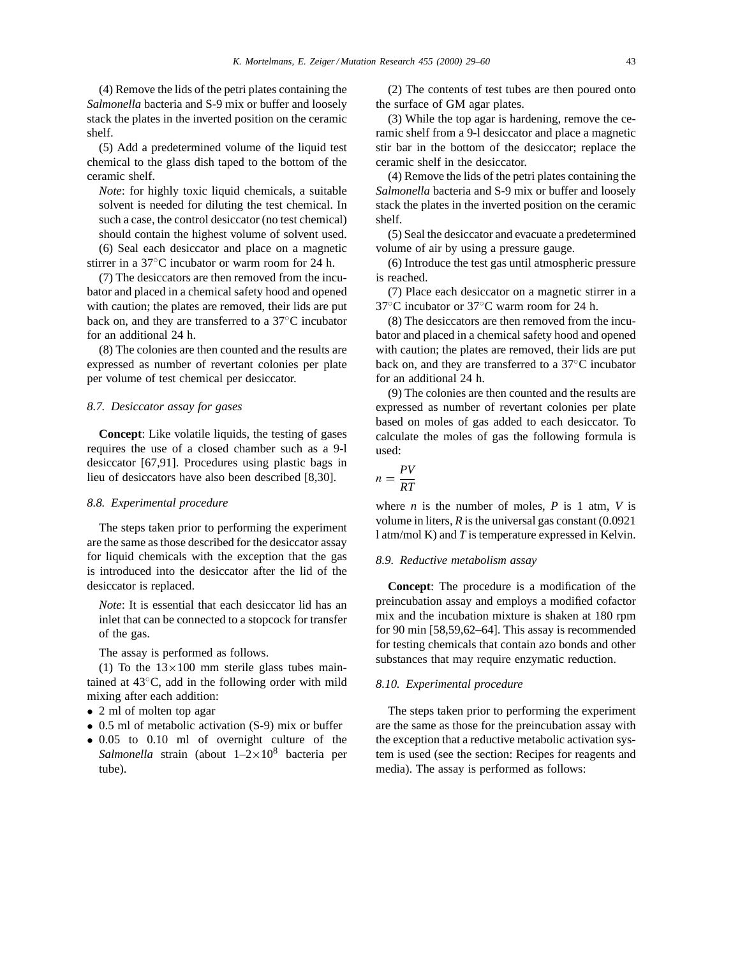(4) Remove the lids of the petri plates containing the *Salmonella* bacteria and S-9 mix or buffer and loosely stack the plates in the inverted position on the ceramic shelf.

(5) Add a predetermined volume of the liquid test chemical to the glass dish taped to the bottom of the ceramic shelf.

*Note*: for highly toxic liquid chemicals, a suitable solvent is needed for diluting the test chemical. In such a case, the control desiccator (no test chemical) should contain the highest volume of solvent used.

(6) Seal each desiccator and place on a magnetic stirrer in a 37◦C incubator or warm room for 24 h.

(7) The desiccators are then removed from the incubator and placed in a chemical safety hood and opened with caution; the plates are removed, their lids are put back on, and they are transferred to a 37◦C incubator for an additional 24 h.

(8) The colonies are then counted and the results are expressed as number of revertant colonies per plate per volume of test chemical per desiccator.

#### *8.7. Desiccator assay for gases*

**Concept**: Like volatile liquids, the testing of gases requires the use of a closed chamber such as a 9-l desiccator [67,91]. Procedures using plastic bags in lieu of desiccators have also been described [8,30].

#### *8.8. Experimental procedure*

The steps taken prior to performing the experiment are the same as those described for the desiccator assay for liquid chemicals with the exception that the gas is introduced into the desiccator after the lid of the desiccator is replaced.

*Note*: It is essential that each desiccator lid has an inlet that can be connected to a stopcock for transfer of the gas.

The assay is performed as follows.

(1) To the  $13\times100$  mm sterile glass tubes maintained at 43◦C, add in the following order with mild mixing after each addition:

- 2 ml of molten top agar
- 0.5 ml of metabolic activation (S-9) mix or buffer
- 0.05 to 0.10 ml of overnight culture of the *Salmonella* strain (about 1–2×108 bacteria per tube).

(2) The contents of test tubes are then poured onto the surface of GM agar plates.

(3) While the top agar is hardening, remove the ceramic shelf from a 9-l desiccator and place a magnetic stir bar in the bottom of the desiccator; replace the ceramic shelf in the desiccator.

(4) Remove the lids of the petri plates containing the *Salmonella* bacteria and S-9 mix or buffer and loosely stack the plates in the inverted position on the ceramic shelf.

(5) Seal the desiccator and evacuate a predetermined volume of air by using a pressure gauge.

(6) Introduce the test gas until atmospheric pressure is reached.

(7) Place each desiccator on a magnetic stirrer in a 37◦C incubator or 37◦C warm room for 24 h.

(8) The desiccators are then removed from the incubator and placed in a chemical safety hood and opened with caution; the plates are removed, their lids are put back on, and they are transferred to a 37◦C incubator for an additional 24 h.

(9) The colonies are then counted and the results are expressed as number of revertant colonies per plate based on moles of gas added to each desiccator. To calculate the moles of gas the following formula is used:

$$
n = \frac{PV}{RT}
$$

where *n* is the number of moles, *P* is 1 atm, *V* is volume in liters, *R* is the universal gas constant (0.0921 l atm/mol K) and *T* is temperature expressed in Kelvin.

#### *8.9. Reductive metabolism assay*

**Concept**: The procedure is a modification of the preincubation assay and employs a modified cofactor mix and the incubation mixture is shaken at 180 rpm for 90 min [58,59,62–64]. This assay is recommended for testing chemicals that contain azo bonds and other substances that may require enzymatic reduction.

#### *8.10. Experimental procedure*

The steps taken prior to performing the experiment are the same as those for the preincubation assay with the exception that a reductive metabolic activation system is used (see the section: Recipes for reagents and media). The assay is performed as follows: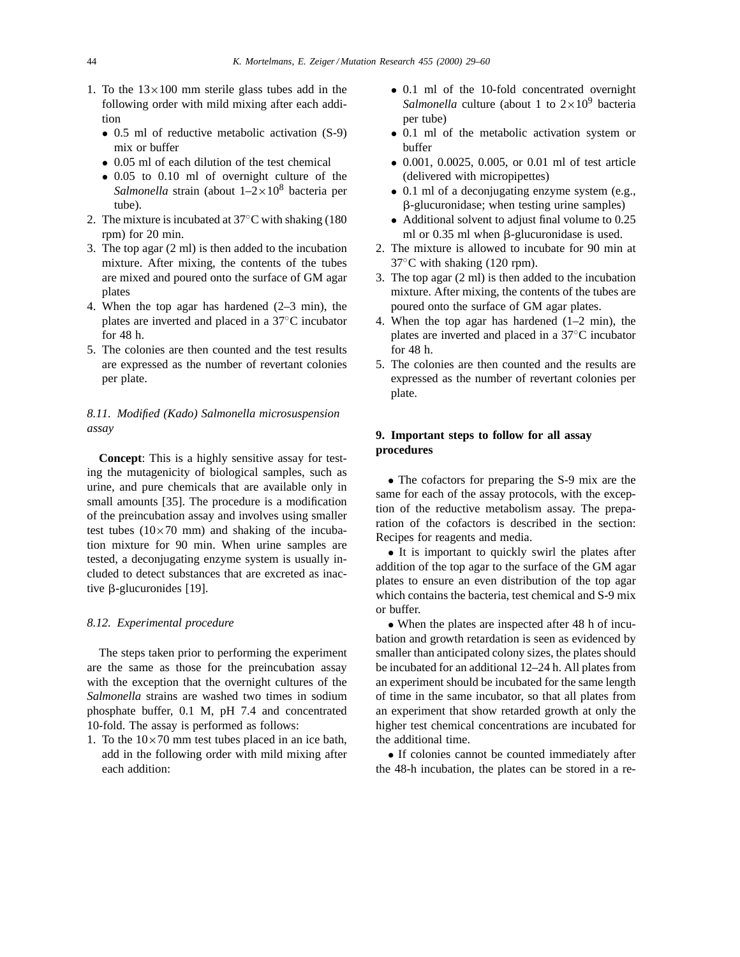- 1. To the  $13\times100$  mm sterile glass tubes add in the following order with mild mixing after each addition
	- 0.5 ml of reductive metabolic activation (S-9) mix or buffer
	- 0.05 ml of each dilution of the test chemical
	- 0.05 to 0.10 ml of overnight culture of the *Salmonella* strain (about  $1-2\times10^8$  bacteria per tube).
- 2. The mixture is incubated at 37◦C with shaking (180 rpm) for 20 min.
- 3. The top agar (2 ml) is then added to the incubation mixture. After mixing, the contents of the tubes are mixed and poured onto the surface of GM agar plates
- 4. When the top agar has hardened (2–3 min), the plates are inverted and placed in a 37◦C incubator for 48 h.
- 5. The colonies are then counted and the test results are expressed as the number of revertant colonies per plate.

# *8.11. Modified (Kado) Salmonella microsuspension assay*

**Concept**: This is a highly sensitive assay for testing the mutagenicity of biological samples, such as urine, and pure chemicals that are available only in small amounts [35]. The procedure is a modification of the preincubation assay and involves using smaller test tubes  $(10\times70$  mm) and shaking of the incubation mixture for 90 min. When urine samples are tested, a deconjugating enzyme system is usually included to detect substances that are excreted as inactive  $\beta$ -glucuronides [19].

## *8.12. Experimental procedure*

The steps taken prior to performing the experiment are the same as those for the preincubation assay with the exception that the overnight cultures of the *Salmonella* strains are washed two times in sodium phosphate buffer, 0.1 M, pH 7.4 and concentrated 10-fold. The assay is performed as follows:

1. To the  $10\times70$  mm test tubes placed in an ice bath, add in the following order with mild mixing after each addition:

- 0.1 ml of the 10-fold concentrated overnight *Salmonella* culture (about 1 to  $2 \times 10^9$  bacteria per tube)
- 0.1 ml of the metabolic activation system or buffer
- 0.001, 0.0025, 0.005, or 0.01 ml of test article (delivered with micropipettes)
- 0.1 ml of a deconjugating enzyme system (e.g., b-glucuronidase; when testing urine samples)
- Additional solvent to adjust final volume to 0.25 ml or  $0.35$  ml when  $\beta$ -glucuronidase is used.
- 2. The mixture is allowed to incubate for 90 min at  $37^{\circ}$ C with shaking (120 rpm).
- 3. The top agar (2 ml) is then added to the incubation mixture. After mixing, the contents of the tubes are poured onto the surface of GM agar plates.
- 4. When the top agar has hardened (1–2 min), the plates are inverted and placed in a 37◦C incubator for 48 h.
- 5. The colonies are then counted and the results are expressed as the number of revertant colonies per plate.

# **9. Important steps to follow for all assay procedures**

• The cofactors for preparing the S-9 mix are the same for each of the assay protocols, with the exception of the reductive metabolism assay. The preparation of the cofactors is described in the section: Recipes for reagents and media.

• It is important to quickly swirl the plates after addition of the top agar to the surface of the GM agar plates to ensure an even distribution of the top agar which contains the bacteria, test chemical and S-9 mix or buffer.

• When the plates are inspected after 48 h of incubation and growth retardation is seen as evidenced by smaller than anticipated colony sizes, the plates should be incubated for an additional 12–24 h. All plates from an experiment should be incubated for the same length of time in the same incubator, so that all plates from an experiment that show retarded growth at only the higher test chemical concentrations are incubated for the additional time.

• If colonies cannot be counted immediately after the 48-h incubation, the plates can be stored in a re-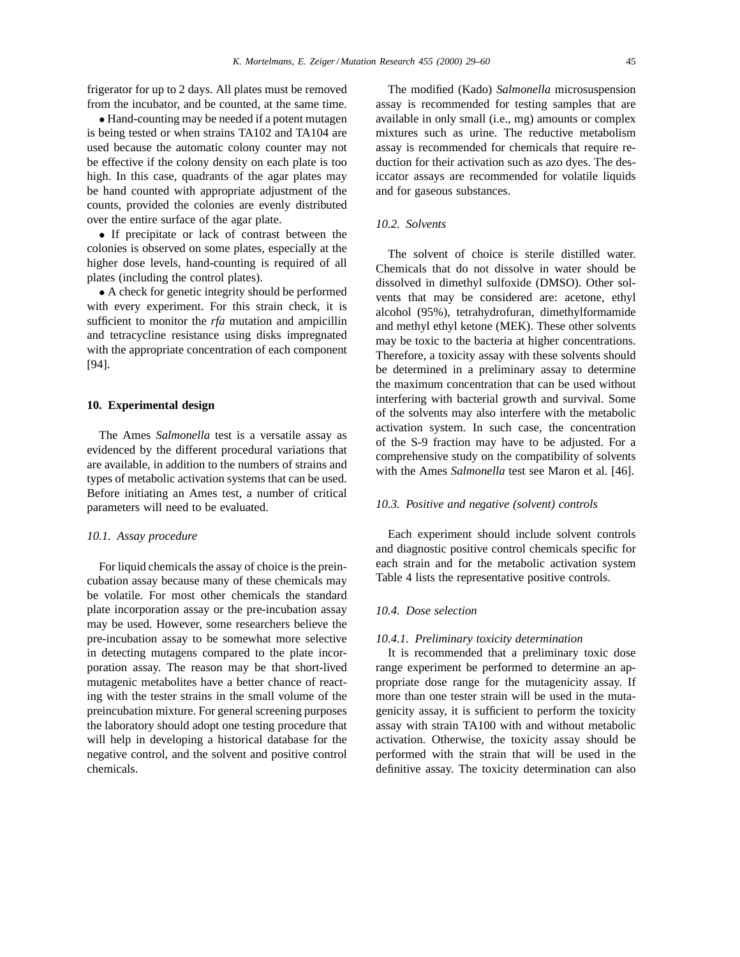frigerator for up to 2 days. All plates must be removed from the incubator, and be counted, at the same time.

• Hand-counting may be needed if a potent mutagen is being tested or when strains TA102 and TA104 are used because the automatic colony counter may not be effective if the colony density on each plate is too high. In this case, quadrants of the agar plates may be hand counted with appropriate adjustment of the counts, provided the colonies are evenly distributed over the entire surface of the agar plate.

• If precipitate or lack of contrast between the colonies is observed on some plates, especially at the higher dose levels, hand-counting is required of all plates (including the control plates).

• A check for genetic integrity should be performed with every experiment. For this strain check, it is sufficient to monitor the *rfa* mutation and ampicillin and tetracycline resistance using disks impregnated with the appropriate concentration of each component [94].

## **10. Experimental design**

The Ames *Salmonella* test is a versatile assay as evidenced by the different procedural variations that are available, in addition to the numbers of strains and types of metabolic activation systems that can be used. Before initiating an Ames test, a number of critical parameters will need to be evaluated.

## *10.1. Assay procedure*

For liquid chemicals the assay of choice is the preincubation assay because many of these chemicals may be volatile. For most other chemicals the standard plate incorporation assay or the pre-incubation assay may be used. However, some researchers believe the pre-incubation assay to be somewhat more selective in detecting mutagens compared to the plate incorporation assay. The reason may be that short-lived mutagenic metabolites have a better chance of reacting with the tester strains in the small volume of the preincubation mixture. For general screening purposes the laboratory should adopt one testing procedure that will help in developing a historical database for the negative control, and the solvent and positive control chemicals.

The modified (Kado) *Salmonella* microsuspension assay is recommended for testing samples that are available in only small (i.e., mg) amounts or complex mixtures such as urine. The reductive metabolism assay is recommended for chemicals that require reduction for their activation such as azo dyes. The desiccator assays are recommended for volatile liquids and for gaseous substances.

# *10.2. Solvents*

The solvent of choice is sterile distilled water. Chemicals that do not dissolve in water should be dissolved in dimethyl sulfoxide (DMSO). Other solvents that may be considered are: acetone, ethyl alcohol (95%), tetrahydrofuran, dimethylformamide and methyl ethyl ketone (MEK). These other solvents may be toxic to the bacteria at higher concentrations. Therefore, a toxicity assay with these solvents should be determined in a preliminary assay to determine the maximum concentration that can be used without interfering with bacterial growth and survival. Some of the solvents may also interfere with the metabolic activation system. In such case, the concentration of the S-9 fraction may have to be adjusted. For a comprehensive study on the compatibility of solvents with the Ames *Salmonella* test see Maron et al. [46].

## *10.3. Positive and negative (solvent) controls*

Each experiment should include solvent controls and diagnostic positive control chemicals specific for each strain and for the metabolic activation system Table 4 lists the representative positive controls.

# *10.4. Dose selection*

#### *10.4.1. Preliminary toxicity determination*

It is recommended that a preliminary toxic dose range experiment be performed to determine an appropriate dose range for the mutagenicity assay. If more than one tester strain will be used in the mutagenicity assay, it is sufficient to perform the toxicity assay with strain TA100 with and without metabolic activation. Otherwise, the toxicity assay should be performed with the strain that will be used in the definitive assay. The toxicity determination can also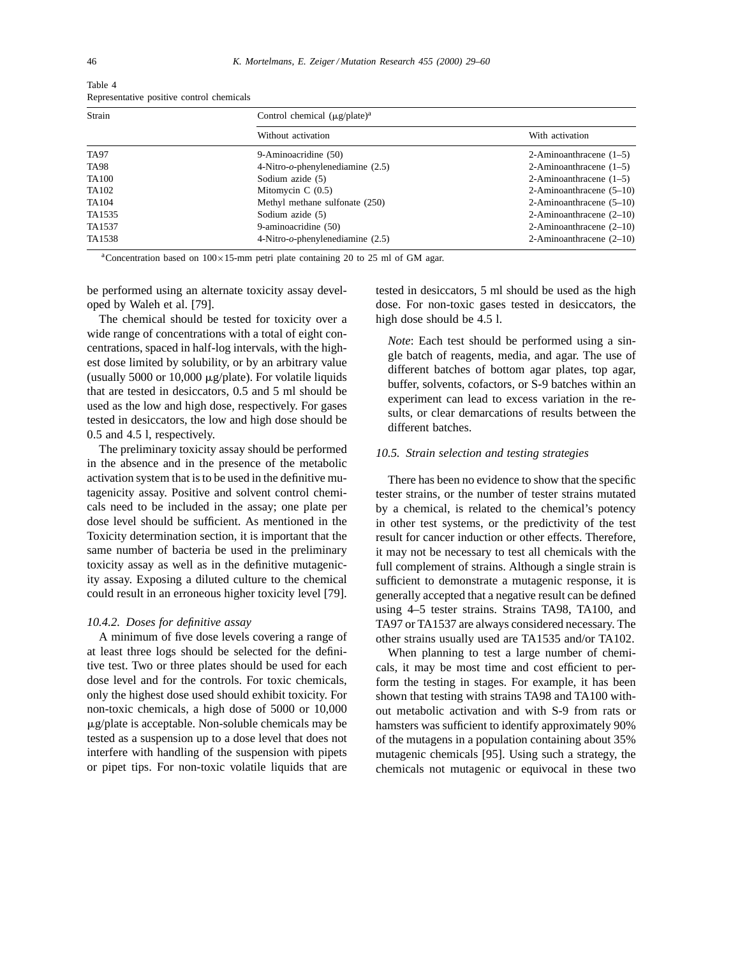| Strain       | Control chemical $(\mu g$ /plate) <sup>a</sup> |                            |  |
|--------------|------------------------------------------------|----------------------------|--|
|              | Without activation                             | With activation            |  |
| TA97         | 9-Aminoacridine (50)                           | 2-Aminoanthracene $(1-5)$  |  |
| TA98         | 4-Nitro- $o$ -phenylenediamine (2.5)           | 2-Aminoanthracene $(1-5)$  |  |
| <b>TA100</b> | Sodium azide (5)                               | 2-Aminoanthracene $(1-5)$  |  |
| TA102        | Mitomycin $C(0.5)$                             | 2-Aminoanthracene $(5-10)$ |  |
| TA104        | Methyl methane sulfonate (250)                 | 2-Aminoanthracene $(5-10)$ |  |
| TA1535       | Sodium azide (5)                               | 2-Aminoanthracene $(2-10)$ |  |
| TA1537       | 9-aminoacridine (50)                           | 2-Aminoanthracene $(2-10)$ |  |
| TA1538       | $4-Nitro-o-phenylenediamine (2.5)$             | 2-Aminoanthracene $(2-10)$ |  |

Table 4 Representative positive control chemicals

<sup>a</sup>Concentration based on  $100 \times 15$ -mm petri plate containing 20 to 25 ml of GM agar.

be performed using an alternate toxicity assay developed by Waleh et al. [79].

The chemical should be tested for toxicity over a wide range of concentrations with a total of eight concentrations, spaced in half-log intervals, with the highest dose limited by solubility, or by an arbitrary value (usually 5000 or 10,000  $\mu$ g/plate). For volatile liquids that are tested in desiccators, 0.5 and 5 ml should be used as the low and high dose, respectively. For gases tested in desiccators, the low and high dose should be 0.5 and 4.5 l, respectively.

The preliminary toxicity assay should be performed in the absence and in the presence of the metabolic activation system that is to be used in the definitive mutagenicity assay. Positive and solvent control chemicals need to be included in the assay; one plate per dose level should be sufficient. As mentioned in the Toxicity determination section, it is important that the same number of bacteria be used in the preliminary toxicity assay as well as in the definitive mutagenicity assay. Exposing a diluted culture to the chemical could result in an erroneous higher toxicity level [79].

#### *10.4.2. Doses for definitive assay*

A minimum of five dose levels covering a range of at least three logs should be selected for the definitive test. Two or three plates should be used for each dose level and for the controls. For toxic chemicals, only the highest dose used should exhibit toxicity. For non-toxic chemicals, a high dose of 5000 or 10,000 mg/plate is acceptable. Non-soluble chemicals may be tested as a suspension up to a dose level that does not interfere with handling of the suspension with pipets or pipet tips. For non-toxic volatile liquids that are tested in desiccators, 5 ml should be used as the high dose. For non-toxic gases tested in desiccators, the high dose should be 4.5 l.

*Note*: Each test should be performed using a single batch of reagents, media, and agar. The use of different batches of bottom agar plates, top agar, buffer, solvents, cofactors, or S-9 batches within an experiment can lead to excess variation in the results, or clear demarcations of results between the different batches.

## *10.5. Strain selection and testing strategies*

There has been no evidence to show that the specific tester strains, or the number of tester strains mutated by a chemical, is related to the chemical's potency in other test systems, or the predictivity of the test result for cancer induction or other effects. Therefore, it may not be necessary to test all chemicals with the full complement of strains. Although a single strain is sufficient to demonstrate a mutagenic response, it is generally accepted that a negative result can be defined using 4–5 tester strains. Strains TA98, TA100, and TA97 or TA1537 are always considered necessary. The other strains usually used are TA1535 and/or TA102.

When planning to test a large number of chemicals, it may be most time and cost efficient to perform the testing in stages. For example, it has been shown that testing with strains TA98 and TA100 without metabolic activation and with S-9 from rats or hamsters was sufficient to identify approximately 90% of the mutagens in a population containing about 35% mutagenic chemicals [95]. Using such a strategy, the chemicals not mutagenic or equivocal in these two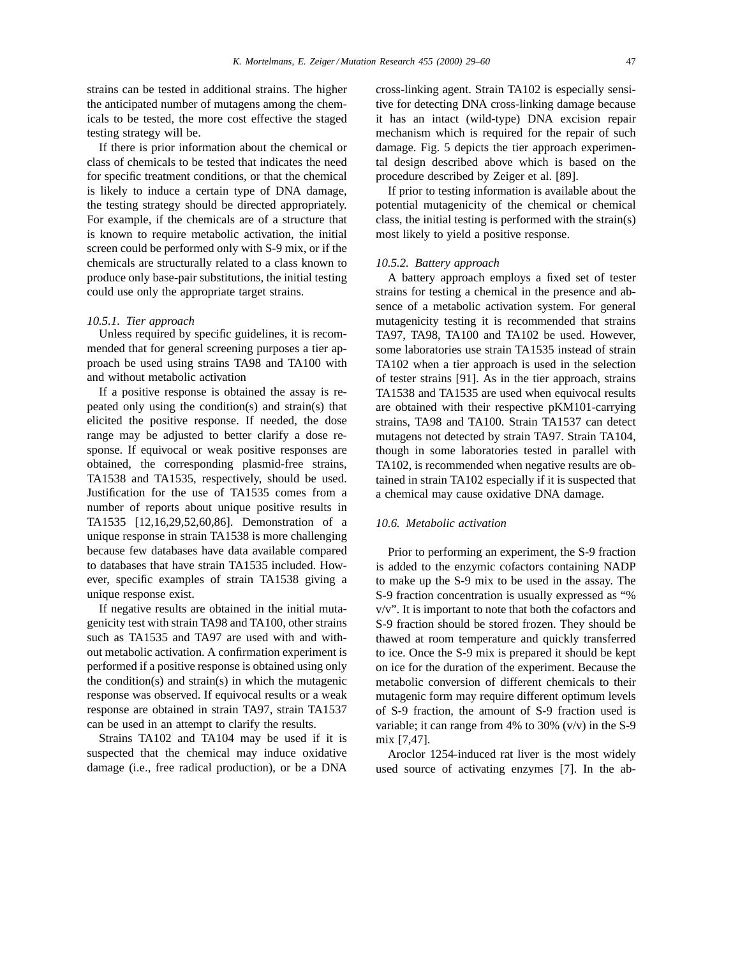strains can be tested in additional strains. The higher the anticipated number of mutagens among the chemicals to be tested, the more cost effective the staged testing strategy will be.

If there is prior information about the chemical or class of chemicals to be tested that indicates the need for specific treatment conditions, or that the chemical is likely to induce a certain type of DNA damage, the testing strategy should be directed appropriately. For example, if the chemicals are of a structure that is known to require metabolic activation, the initial screen could be performed only with S-9 mix, or if the chemicals are structurally related to a class known to produce only base-pair substitutions, the initial testing could use only the appropriate target strains.

# *10.5.1. Tier approach*

Unless required by specific guidelines, it is recommended that for general screening purposes a tier approach be used using strains TA98 and TA100 with and without metabolic activation

If a positive response is obtained the assay is repeated only using the condition(s) and strain(s) that elicited the positive response. If needed, the dose range may be adjusted to better clarify a dose response. If equivocal or weak positive responses are obtained, the corresponding plasmid-free strains, TA1538 and TA1535, respectively, should be used. Justification for the use of TA1535 comes from a number of reports about unique positive results in TA1535 [12,16,29,52,60,86]. Demonstration of a unique response in strain TA1538 is more challenging because few databases have data available compared to databases that have strain TA1535 included. However, specific examples of strain TA1538 giving a unique response exist.

If negative results are obtained in the initial mutagenicity test with strain TA98 and TA100, other strains such as TA1535 and TA97 are used with and without metabolic activation. A confirmation experiment is performed if a positive response is obtained using only the condition(s) and strain(s) in which the mutagenic response was observed. If equivocal results or a weak response are obtained in strain TA97, strain TA1537 can be used in an attempt to clarify the results.

Strains TA102 and TA104 may be used if it is suspected that the chemical may induce oxidative damage (i.e., free radical production), or be a DNA cross-linking agent. Strain TA102 is especially sensitive for detecting DNA cross-linking damage because it has an intact (wild-type) DNA excision repair mechanism which is required for the repair of such damage. Fig. 5 depicts the tier approach experimental design described above which is based on the procedure described by Zeiger et al. [89].

If prior to testing information is available about the potential mutagenicity of the chemical or chemical class, the initial testing is performed with the strain(s) most likely to yield a positive response.

#### *10.5.2. Battery approach*

A battery approach employs a fixed set of tester strains for testing a chemical in the presence and absence of a metabolic activation system. For general mutagenicity testing it is recommended that strains TA97, TA98, TA100 and TA102 be used. However, some laboratories use strain TA1535 instead of strain TA102 when a tier approach is used in the selection of tester strains [91]. As in the tier approach, strains TA1538 and TA1535 are used when equivocal results are obtained with their respective pKM101-carrying strains, TA98 and TA100. Strain TA1537 can detect mutagens not detected by strain TA97. Strain TA104, though in some laboratories tested in parallel with TA102, is recommended when negative results are obtained in strain TA102 especially if it is suspected that a chemical may cause oxidative DNA damage.

#### *10.6. Metabolic activation*

Prior to performing an experiment, the S-9 fraction is added to the enzymic cofactors containing NADP to make up the S-9 mix to be used in the assay. The S-9 fraction concentration is usually expressed as "% v/v". It is important to note that both the cofactors and S-9 fraction should be stored frozen. They should be thawed at room temperature and quickly transferred to ice. Once the S-9 mix is prepared it should be kept on ice for the duration of the experiment. Because the metabolic conversion of different chemicals to their mutagenic form may require different optimum levels of S-9 fraction, the amount of S-9 fraction used is variable; it can range from 4% to 30% (v/v) in the S-9 mix [7,47].

Aroclor 1254-induced rat liver is the most widely used source of activating enzymes [7]. In the ab-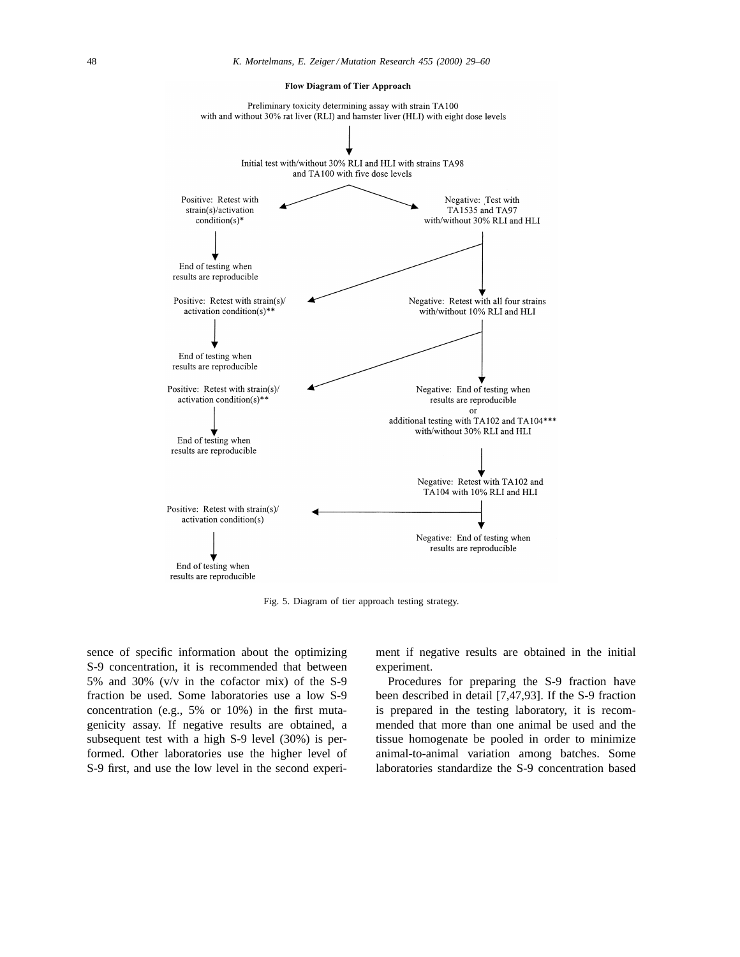

Flow Diagram of Tier Approach

Fig. 5. Diagram of tier approach testing strategy.

sence of specific information about the optimizing S-9 concentration, it is recommended that between 5% and 30% (v/v in the cofactor mix) of the S-9 fraction be used. Some laboratories use a low S-9 concentration (e.g., 5% or 10%) in the first mutagenicity assay. If negative results are obtained, a subsequent test with a high S-9 level (30%) is performed. Other laboratories use the higher level of S-9 first, and use the low level in the second experiment if negative results are obtained in the initial experiment.

Procedures for preparing the S-9 fraction have been described in detail [7,47,93]. If the S-9 fraction is prepared in the testing laboratory, it is recommended that more than one animal be used and the tissue homogenate be pooled in order to minimize animal-to-animal variation among batches. Some laboratories standardize the S-9 concentration based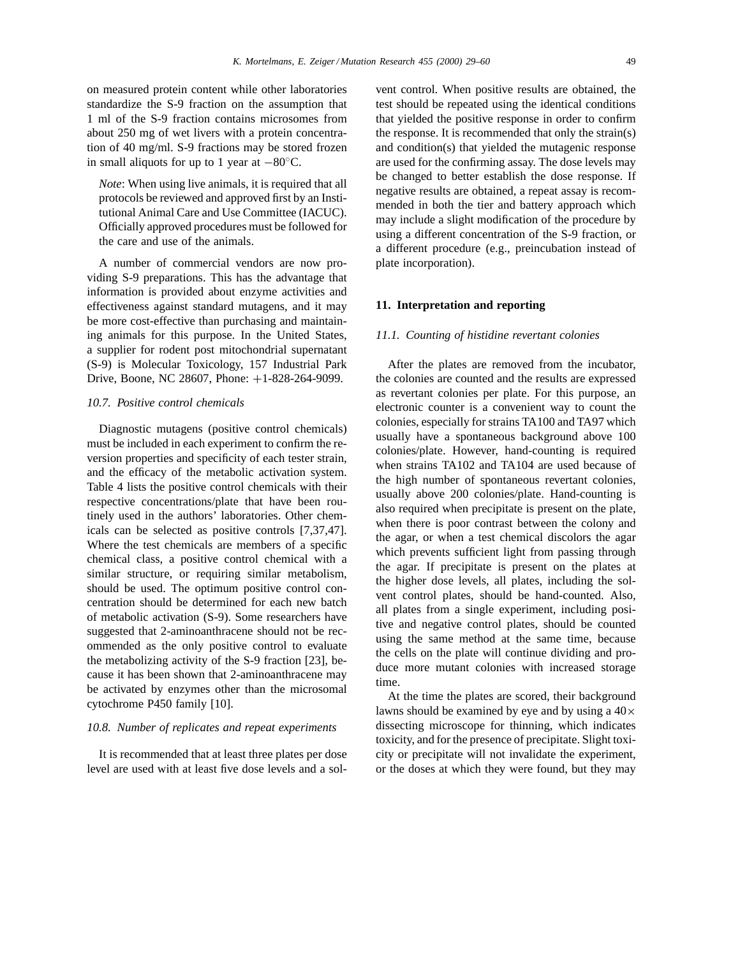on measured protein content while other laboratories standardize the S-9 fraction on the assumption that 1 ml of the S-9 fraction contains microsomes from about 250 mg of wet livers with a protein concentration of 40 mg/ml. S-9 fractions may be stored frozen in small aliquots for up to 1 year at  $-80^\circ$ C.

*Note*: When using live animals, it is required that all protocols be reviewed and approved first by an Institutional Animal Care and Use Committee (IACUC). Officially approved procedures must be followed for the care and use of the animals.

A number of commercial vendors are now providing S-9 preparations. This has the advantage that information is provided about enzyme activities and effectiveness against standard mutagens, and it may be more cost-effective than purchasing and maintaining animals for this purpose. In the United States, a supplier for rodent post mitochondrial supernatant (S-9) is Molecular Toxicology, 157 Industrial Park Drive, Boone, NC 28607, Phone: +1-828-264-9099.

## *10.7. Positive control chemicals*

Diagnostic mutagens (positive control chemicals) must be included in each experiment to confirm the reversion properties and specificity of each tester strain, and the efficacy of the metabolic activation system. Table 4 lists the positive control chemicals with their respective concentrations/plate that have been routinely used in the authors' laboratories. Other chemicals can be selected as positive controls [7,37,47]. Where the test chemicals are members of a specific chemical class, a positive control chemical with a similar structure, or requiring similar metabolism, should be used. The optimum positive control concentration should be determined for each new batch of metabolic activation (S-9). Some researchers have suggested that 2-aminoanthracene should not be recommended as the only positive control to evaluate the metabolizing activity of the S-9 fraction [23], because it has been shown that 2-aminoanthracene may be activated by enzymes other than the microsomal cytochrome P450 family [10].

#### *10.8. Number of replicates and repeat experiments*

It is recommended that at least three plates per dose level are used with at least five dose levels and a sol-

vent control. When positive results are obtained, the test should be repeated using the identical conditions that yielded the positive response in order to confirm the response. It is recommended that only the strain(s) and condition(s) that yielded the mutagenic response are used for the confirming assay. The dose levels may be changed to better establish the dose response. If negative results are obtained, a repeat assay is recommended in both the tier and battery approach which may include a slight modification of the procedure by using a different concentration of the S-9 fraction, or a different procedure (e.g., preincubation instead of plate incorporation).

#### **11. Interpretation and reporting**

#### *11.1. Counting of histidine revertant colonies*

After the plates are removed from the incubator, the colonies are counted and the results are expressed as revertant colonies per plate. For this purpose, an electronic counter is a convenient way to count the colonies, especially for strains TA100 and TA97 which usually have a spontaneous background above 100 colonies/plate. However, hand-counting is required when strains TA102 and TA104 are used because of the high number of spontaneous revertant colonies, usually above 200 colonies/plate. Hand-counting is also required when precipitate is present on the plate, when there is poor contrast between the colony and the agar, or when a test chemical discolors the agar which prevents sufficient light from passing through the agar. If precipitate is present on the plates at the higher dose levels, all plates, including the solvent control plates, should be hand-counted. Also, all plates from a single experiment, including positive and negative control plates, should be counted using the same method at the same time, because the cells on the plate will continue dividing and produce more mutant colonies with increased storage time.

At the time the plates are scored, their background lawns should be examined by eye and by using a  $40\times$ dissecting microscope for thinning, which indicates toxicity, and for the presence of precipitate. Slight toxicity or precipitate will not invalidate the experiment, or the doses at which they were found, but they may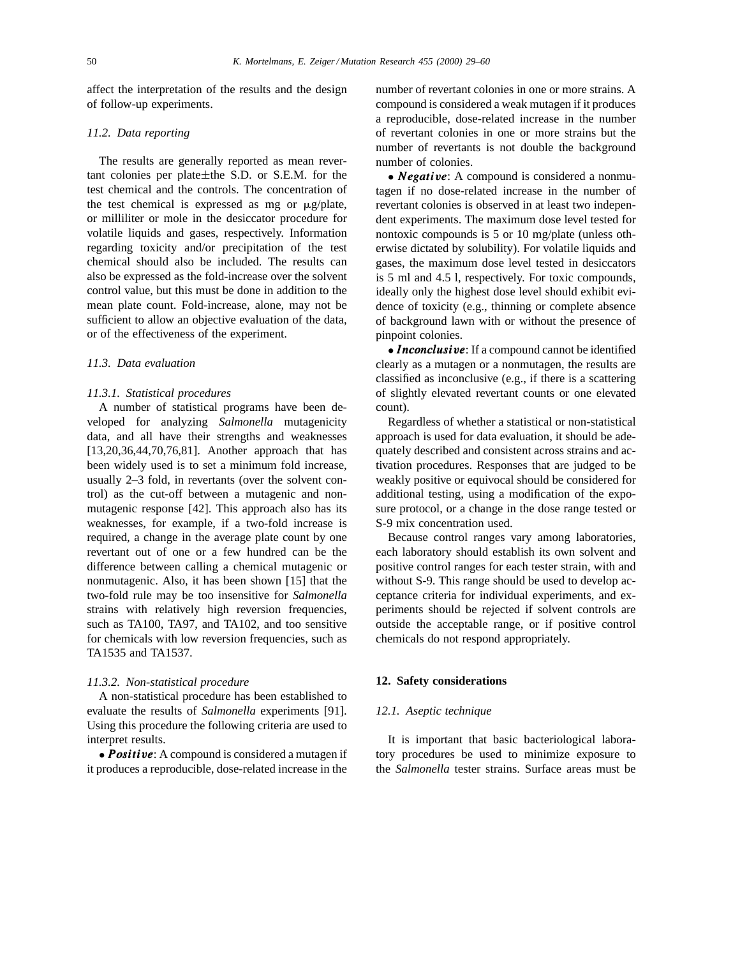affect the interpretation of the results and the design of follow-up experiments.

# *11.2. Data reporting*

The results are generally reported as mean revertant colonies per plate±the S.D. or S.E.M. for the test chemical and the controls. The concentration of the test chemical is expressed as mg or  $\mu$ g/plate, or milliliter or mole in the desiccator procedure for volatile liquids and gases, respectively. Information regarding toxicity and/or precipitation of the test chemical should also be included. The results can also be expressed as the fold-increase over the solvent control value, but this must be done in addition to the mean plate count. Fold-increase, alone, may not be sufficient to allow an objective evaluation of the data, or of the effectiveness of the experiment.

#### *11.3. Data evaluation*

## *11.3.1. Statistical procedures*

A number of statistical programs have been developed for analyzing *Salmonella* mutagenicity data, and all have their strengths and weaknesses [13,20,36,44,70,76,81]. Another approach that has been widely used is to set a minimum fold increase, usually 2–3 fold, in revertants (over the solvent control) as the cut-off between a mutagenic and nonmutagenic response [42]. This approach also has its weaknesses, for example, if a two-fold increase is required, a change in the average plate count by one revertant out of one or a few hundred can be the difference between calling a chemical mutagenic or nonmutagenic. Also, it has been shown [15] that the two-fold rule may be too insensitive for *Salmonella* strains with relatively high reversion frequencies, such as TA100, TA97, and TA102, and too sensitive for chemicals with low reversion frequencies, such as TA1535 and TA1537.

#### *11.3.2. Non-statistical procedure*

A non-statistical procedure has been established to evaluate the results of *Salmonella* experiments [91]. Using this procedure the following criteria are used to interpret results.

 $\bullet$  *Positive*: A compound is considered a mutagen if it produces a reproducible, dose-related increase in the

number of revertant colonies in one or more strains. A compound is considered a weak mutagen if it produces a reproducible, dose-related increase in the number of revertant colonies in one or more strains but the number of revertants is not double the background number of colonies.

• *Negative*: A compound is considered a nonmutagen if no dose-related increase in the number of revertant colonies is observed in at least two independent experiments. The maximum dose level tested for nontoxic compounds is 5 or 10 mg/plate (unless otherwise dictated by solubility). For volatile liquids and gases, the maximum dose level tested in desiccators is 5 ml and 4.5 l, respectively. For toxic compounds, ideally only the highest dose level should exhibit evidence of toxicity (e.g., thinning or complete absence of background lawn with or without the presence of pinpoint colonies.

• Inconclusive: If a compound cannot be identified clearly as a mutagen or a nonmutagen, the results are classified as inconclusive (e.g., if there is a scattering of slightly elevated revertant counts or one elevated count).

Regardless of whether a statistical or non-statistical approach is used for data evaluation, it should be adequately described and consistent across strains and activation procedures. Responses that are judged to be weakly positive or equivocal should be considered for additional testing, using a modification of the exposure protocol, or a change in the dose range tested or S-9 mix concentration used.

Because control ranges vary among laboratories, each laboratory should establish its own solvent and positive control ranges for each tester strain, with and without S-9. This range should be used to develop acceptance criteria for individual experiments, and experiments should be rejected if solvent controls are outside the acceptable range, or if positive control chemicals do not respond appropriately.

## **12. Safety considerations**

## *12.1. Aseptic technique*

It is important that basic bacteriological laboratory procedures be used to minimize exposure to the *Salmonella* tester strains. Surface areas must be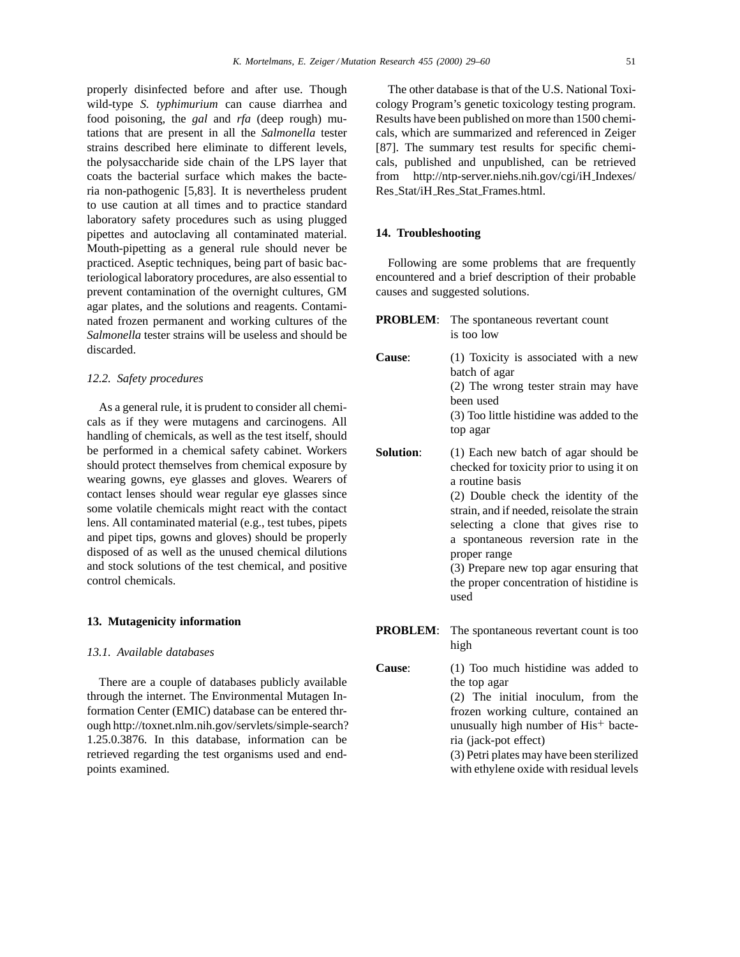properly disinfected before and after use. Though wild-type *S. typhimurium* can cause diarrhea and food poisoning, the *gal* and *rfa* (deep rough) mutations that are present in all the *Salmonella* tester strains described here eliminate to different levels, the polysaccharide side chain of the LPS layer that coats the bacterial surface which makes the bacteria non-pathogenic [5,83]. It is nevertheless prudent to use caution at all times and to practice standard laboratory safety procedures such as using plugged pipettes and autoclaving all contaminated material. Mouth-pipetting as a general rule should never be practiced. Aseptic techniques, being part of basic bacteriological laboratory procedures, are also essential to prevent contamination of the overnight cultures, GM agar plates, and the solutions and reagents. Contaminated frozen permanent and working cultures of the *Salmonella* tester strains will be useless and should be discarded.

## *12.2. Safety procedures*

As a general rule, it is prudent to consider all chemicals as if they were mutagens and carcinogens. All handling of chemicals, as well as the test itself, should be performed in a chemical safety cabinet. Workers should protect themselves from chemical exposure by wearing gowns, eye glasses and gloves. Wearers of contact lenses should wear regular eye glasses since some volatile chemicals might react with the contact lens. All contaminated material (e.g., test tubes, pipets and pipet tips, gowns and gloves) should be properly disposed of as well as the unused chemical dilutions and stock solutions of the test chemical, and positive control chemicals.

## **13. Mutagenicity information**

## *13.1. Available databases*

There are a couple of databases publicly available through the internet. The Environmental Mutagen Information Center (EMIC) database can be entered through http://toxnet.nlm.nih.gov/servlets/simple-search? 1.25.0.3876. In this database, information can be retrieved regarding the test organisms used and endpoints examined.

The other database is that of the U.S. National Toxicology Program's genetic toxicology testing program. Results have been published on more than 1500 chemicals, which are summarized and referenced in Zeiger [87]. The summary test results for specific chemicals, published and unpublished, can be retrieved from http://ntp-server.niehs.nih.gov/cgi/iH Indexes/ Res Stat/iH Res Stat Frames.html.

# **14. Troubleshooting**

Following are some problems that are frequently encountered and a brief description of their probable causes and suggested solutions.

- **PROBLEM**: The spontaneous revertant count is too low **Cause**: (1) Toxicity is associated with a new batch of agar (2) The wrong tester strain may have been used (3) Too little histidine was added to the top agar **Solution:** (1) Each new batch of agar should be
	- checked for toxicity prior to using it on a routine basis (2) Double check the identity of the strain, and if needed, reisolate the strain selecting a clone that gives rise to a spontaneous reversion rate in the proper range (3) Prepare new top agar ensuring that the proper concentration of histidine is
- **PROBLEM:** The spontaneous revertant count is too high

used

**Cause**: (1) Too much histidine was added to the top agar (2) The initial inoculum, from the frozen working culture, contained an unusually high number of  $His<sup>+</sup>$  bacteria (jack-pot effect) (3) Petri plates may have been sterilized with ethylene oxide with residual levels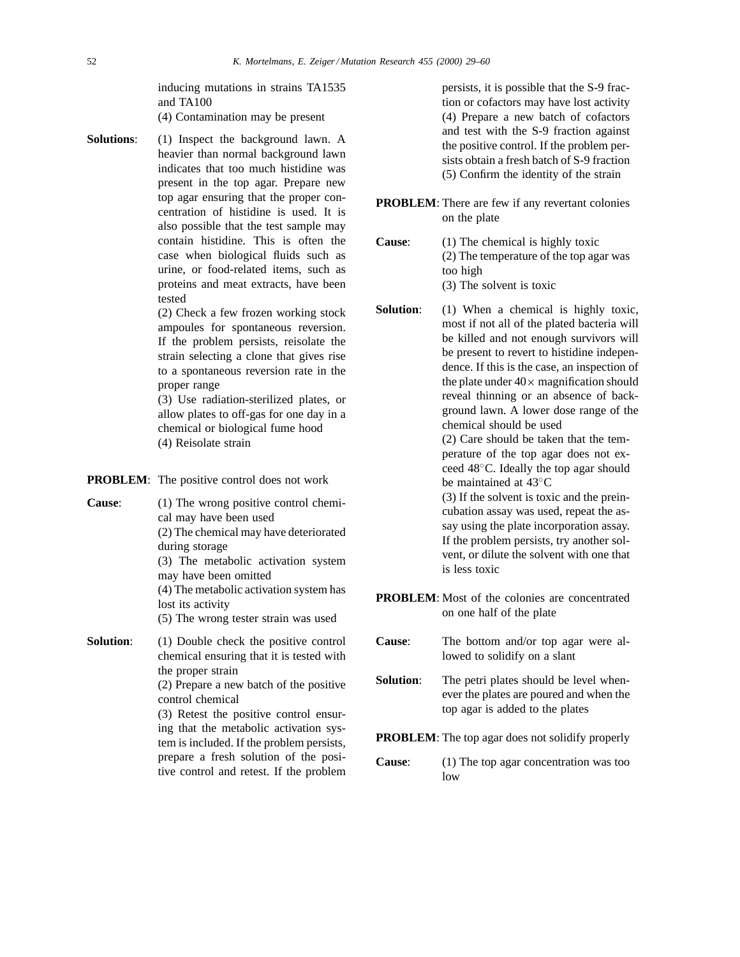inducing mutations in strains TA1535 and TA100

(4) Contamination may be present

**Solutions**: (1) Inspect the background lawn. A heavier than normal background lawn indicates that too much histidine was present in the top agar. Prepare new top agar ensuring that the proper concentration of histidine is used. It is also possible that the test sample may contain histidine. This is often the case when biological fluids such as urine, or food-related items, such as proteins and meat extracts, have been tested

(2) Check a few frozen working stock ampoules for spontaneous reversion. If the problem persists, reisolate the strain selecting a clone that gives rise to a spontaneous reversion rate in the proper range

(3) Use radiation-sterilized plates, or allow plates to off-gas for one day in a chemical or biological fume hood (4) Reisolate strain

| <b>PROBLEM:</b> The positive control does not work |  |  |  |
|----------------------------------------------------|--|--|--|
|----------------------------------------------------|--|--|--|

| Cause:    | (1) The wrong positive control chemi-<br>cal may have been used<br>(2) The chemical may have deteriorated<br>during storage<br>(3) The metabolic activation system<br>may have been omitted<br>(4) The metabolic activation system has<br>lost its activity<br>(5) The wrong tester strain was used                                             |
|-----------|-------------------------------------------------------------------------------------------------------------------------------------------------------------------------------------------------------------------------------------------------------------------------------------------------------------------------------------------------|
| Solution: | (1) Double check the positive control<br>chemical ensuring that it is tested with<br>the proper strain<br>(2) Prepare a new batch of the positive<br>control chemical<br>(3) Retest the positive control ensur-<br>ing that the metabolic activation sys-<br>tem is included. If the problem persists,<br>prepare a fresh solution of the posi- |

tive control and retest. If the problem

persists, it is possible that the S-9 fraction or cofactors may have lost activity (4) Prepare a new batch of cofactors and test with the S-9 fraction against the positive control. If the problem persists obtain a fresh batch of S-9 fraction (5) Confirm the identity of the strain

- **PROBLEM:** There are few if any revertant colonies on the plate
- **Cause**: (1) The chemical is highly toxic (2) The temperature of the top agar was too high (3) The solvent is toxic
- **Solution**: (1) When a chemical is highly toxic, most if not all of the plated bacteria will be killed and not enough survivors will be present to revert to histidine independence. If this is the case, an inspection of the plate under  $40\times$  magnification should reveal thinning or an absence of background lawn. A lower dose range of the chemical should be used (2) Care should be taken that the tem-

perature of the top agar does not exceed 48◦C. Ideally the top agar should be maintained at 43◦C

(3) If the solvent is toxic and the preincubation assay was used, repeat the assay using the plate incorporation assay. If the problem persists, try another solvent, or dilute the solvent with one that is less toxic

- **PROBLEM:** Most of the colonies are concentrated on one half of the plate
- **Cause**: The bottom and/or top agar were allowed to solidify on a slant
- **Solution:** The petri plates should be level whenever the plates are poured and when the top agar is added to the plates

**PROBLEM**: The top agar does not solidify properly

**Cause**: (1) The top agar concentration was too low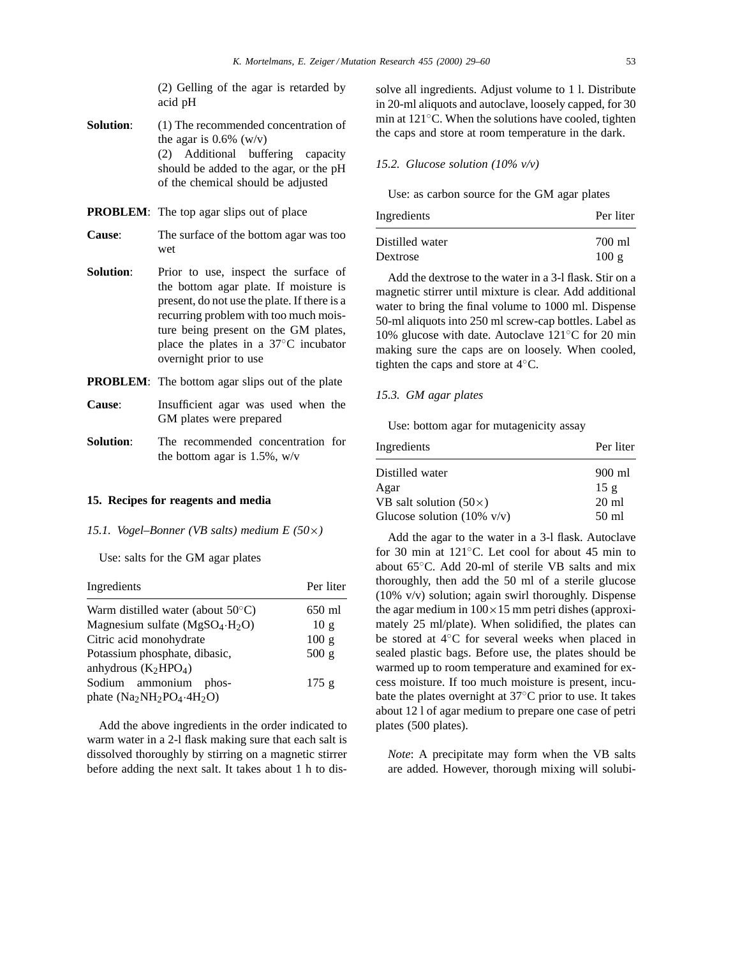(2) Gelling of the agar is retarded by acid pH

- **Solution:** (1) The recommended concentration of the agar is  $0.6\%$  (w/v) (2) Additional buffering capacity should be added to the agar, or the pH of the chemical should be adjusted
- **PROBLEM**: The top agar slips out of place
- **Cause**: The surface of the bottom agar was too wet
- **Solution:** Prior to use, inspect the surface of the bottom agar plate. If moisture is present, do not use the plate. If there is a recurring problem with too much moisture being present on the GM plates, place the plates in a 37◦C incubator overnight prior to use
- **PROBLEM**: The bottom agar slips out of the plate
- **Cause**: Insufficient agar was used when the GM plates were prepared
- **Solution**: The recommended concentration for the bottom agar is 1.5%, w/v

## **15. Recipes for reagents and media**

*15.1. Vogel–Bonner (VB salts) medium E (50*×*)*

Use: salts for the GM agar plates

| Ingredients                                              | Per liter |
|----------------------------------------------------------|-----------|
| Warm distilled water (about $50^{\circ}$ C)              | 650 ml    |
| Magnesium sulfate $(MgSO4·H2O)$                          | 10g       |
| Citric acid monohydrate                                  | 100 g     |
| Potassium phosphate, dibasic,                            | 500 g     |
| anhydrous $(K_2HPO_4)$                                   |           |
| Sodium ammonium<br>phos-<br>phate $(Na_2NH_2PO_4.4H_2O)$ | 175g      |

Add the above ingredients in the order indicated to warm water in a 2-l flask making sure that each salt is dissolved thoroughly by stirring on a magnetic stirrer before adding the next salt. It takes about 1 h to dis-

solve all ingredients. Adjust volume to 1 l. Distribute in 20-ml aliquots and autoclave, loosely capped, for 30 min at 121◦C. When the solutions have cooled, tighten the caps and store at room temperature in the dark.

## *15.2. Glucose solution (10% v/v)*

Use: as carbon source for the GM agar plates

| Ingredients     | Per liter |
|-----------------|-----------|
| Distilled water | 700 ml    |
| Dextrose        | 100g      |

Add the dextrose to the water in a 3-l flask. Stir on a magnetic stirrer until mixture is clear. Add additional water to bring the final volume to 1000 ml. Dispense 50-ml aliquots into 250 ml screw-cap bottles. Label as 10% glucose with date. Autoclave 121◦C for 20 min making sure the caps are on loosely. When cooled, tighten the caps and store at 4◦C.

# *15.3. GM agar plates*

Use: bottom agar for mutagenicity assay

| Ingredients                           | Per liter       |
|---------------------------------------|-----------------|
| Distilled water                       | 900 ml          |
| Agar                                  | 15g             |
| VB salt solution $(50\times)$         | $20 \text{ ml}$ |
| Glucose solution $(10\% \text{ v/v})$ | 50 ml           |

Add the agar to the water in a 3-l flask. Autoclave for 30 min at 121◦C. Let cool for about 45 min to about 65◦C. Add 20-ml of sterile VB salts and mix thoroughly, then add the 50 ml of a sterile glucose (10% v/v) solution; again swirl thoroughly. Dispense the agar medium in  $100 \times 15$  mm petri dishes (approximately 25 ml/plate). When solidified, the plates can be stored at 4◦C for several weeks when placed in sealed plastic bags. Before use, the plates should be warmed up to room temperature and examined for excess moisture. If too much moisture is present, incubate the plates overnight at 37◦C prior to use. It takes about 12 l of agar medium to prepare one case of petri plates (500 plates).

*Note*: A precipitate may form when the VB salts are added. However, thorough mixing will solubi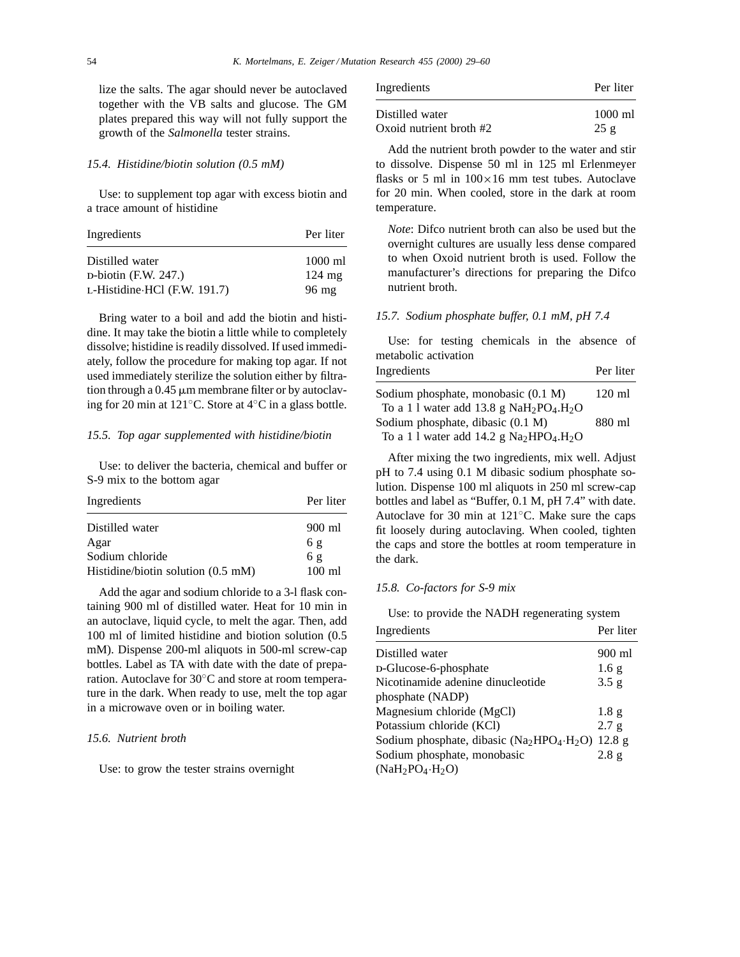lize the salts. The agar should never be autoclaved together with the VB salts and glucose. The GM plates prepared this way will not fully support the growth of the *Salmonella* tester strains.

#### *15.4. Histidine/biotin solution (0.5 mM)*

Use: to supplement top agar with excess biotin and a trace amount of histidine

| Per liter        |  |
|------------------|--|
| $1000$ ml        |  |
| $124 \text{ mg}$ |  |
| $96 \text{ mg}$  |  |
|                  |  |

Bring water to a boil and add the biotin and histidine. It may take the biotin a little while to completely dissolve; histidine is readily dissolved. If used immediately, follow the procedure for making top agar. If not used immediately sterilize the solution either by filtration through a  $0.45 \mu m$  membrane filter or by autoclaving for 20 min at 121◦C. Store at 4◦C in a glass bottle.

#### *15.5. Top agar supplemented with histidine/biotin*

Use: to deliver the bacteria, chemical and buffer or S-9 mix to the bottom agar

| Ingredients                                  | Per liter        |
|----------------------------------------------|------------------|
| Distilled water                              | 900 ml           |
| Agar                                         | 6g               |
| Sodium chloride                              | 6g               |
| Histidine/biotin solution $(0.5 \text{ mM})$ | $100 \text{ ml}$ |

Add the agar and sodium chloride to a 3-l flask containing 900 ml of distilled water. Heat for 10 min in an autoclave, liquid cycle, to melt the agar. Then, add 100 ml of limited histidine and biotion solution (0.5 mM). Dispense 200-ml aliquots in 500-ml screw-cap bottles. Label as TA with date with the date of preparation. Autoclave for 30◦C and store at room temperature in the dark. When ready to use, melt the top agar in a microwave oven or in boiling water.

# *15.6. Nutrient broth*

Use: to grow the tester strains overnight

| Ingredients               | Per liter         |
|---------------------------|-------------------|
| Distilled water           | $1000 \text{ ml}$ |
| Oxoid nutrient broth $#2$ | 25g               |

Add the nutrient broth powder to the water and stir to dissolve. Dispense 50 ml in 125 ml Erlenmeyer flasks or 5 ml in  $100 \times 16$  mm test tubes. Autoclave for 20 min. When cooled, store in the dark at room temperature.

*Note*: Difco nutrient broth can also be used but the overnight cultures are usually less dense compared to when Oxoid nutrient broth is used. Follow the manufacturer's directions for preparing the Difco nutrient broth.

## *15.7. Sodium phosphate buffer, 0.1 mM, pH 7.4*

Use: for testing chemicals in the absence of metabolic activation

| Ingredients                                | Per liter        |
|--------------------------------------------|------------------|
| Sodium phosphate, monobasic (0.1 M)        | $120 \text{ ml}$ |
| To a 1 l water add 13.8 g $NaH_2PO_4.H_2O$ |                  |
| Sodium phosphate, dibasic (0.1 M)          | 880 ml           |
| To a 1 l water add 14.2 g $Na2HPO4.H2O$    |                  |

After mixing the two ingredients, mix well. Adjust pH to 7.4 using 0.1 M dibasic sodium phosphate solution. Dispense 100 ml aliquots in 250 ml screw-cap bottles and label as "Buffer, 0.1 M, pH 7.4" with date. Autoclave for 30 min at 121◦C. Make sure the caps fit loosely during autoclaving. When cooled, tighten the caps and store the bottles at room temperature in the dark.

# *15.8. Co-factors for S-9 mix*

Use: to provide the NADH regenerating system

| Ingredients                                                                           | Per liter        |
|---------------------------------------------------------------------------------------|------------------|
| Distilled water                                                                       | 900 ml           |
| D-Glucose-6-phosphate                                                                 | 1.6g             |
| Nicotinamide adenine dinucleotide                                                     | 3.5 g            |
| phosphate (NADP)                                                                      |                  |
| Magnesium chloride (MgCl)                                                             | 1.8 <sub>g</sub> |
| Potassium chloride (KCl)                                                              | 2.7 g            |
| Sodium phosphate, dibasic (Na <sub>2</sub> HPO <sub>4</sub> ·H <sub>2</sub> O) 12.8 g |                  |
| Sodium phosphate, monobasic                                                           | 2.8 g            |
| $(NaH_2PO_4·H_2O)$                                                                    |                  |
|                                                                                       |                  |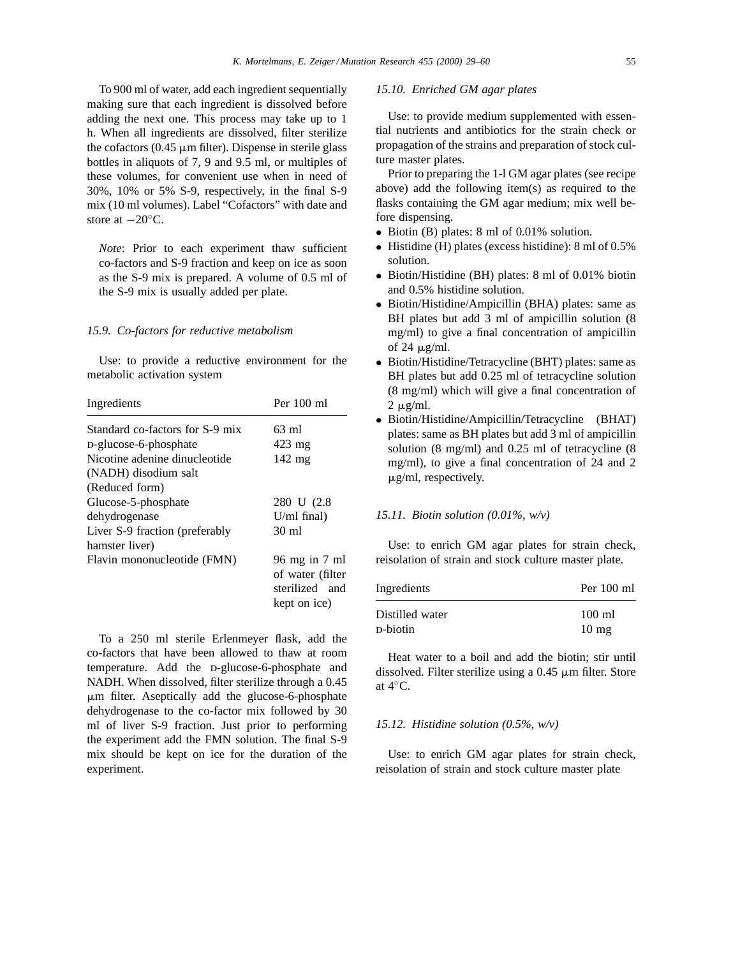To 900 ml of water, add each ingredient sequentially making sure that each ingredient is dissolved before adding the next one. This process may take up to 1 h. When all ingredients are dissolved, filter sterilize the cofactors  $(0.45 \mu m)$  filter). Dispense in sterile glass bottles in aliquots of 7, 9 and 9.5 ml, or multiples of these volumes, for convenient use when in need of 30%, 10% or 5% S-9, respectively, in the final S-9 mix (10 ml volumes). Label "Cofactors" with date and store at −20◦C.

*Note*: Prior to each experiment thaw sufficient co-factors and S-9 fraction and keep on ice as soon as the S-9 mix is prepared. A volume of 0.5 ml of the S-9 mix is usually added per plate.

#### *15.9. Co-factors for reductive metabolism*

Use: to provide a reductive environment for the metabolic activation system

| Per $100$ ml                                                        |
|---------------------------------------------------------------------|
| 63 ml                                                               |
| $423 \text{ mg}$                                                    |
| $142 \text{ mg}$                                                    |
|                                                                     |
|                                                                     |
| 280 U (2.8)                                                         |
| $U/ml$ final)                                                       |
| 30 ml                                                               |
|                                                                     |
| 96 mg in 7 ml<br>of water (filter<br>sterilized and<br>kept on ice) |
|                                                                     |

To a 250 ml sterile Erlenmeyer flask, add the co-factors that have been allowed to thaw at room temperature. Add the D-glucose-6-phosphate and NADH. When dissolved, filter sterilize through a 0.45 mm filter. Aseptically add the glucose-6-phosphate dehydrogenase to the co-factor mix followed by 30 ml of liver S-9 fraction. Just prior to performing the experiment add the FMN solution. The final S-9 mix should be kept on ice for the duration of the experiment.

## *15.10. Enriched GM agar plates*

Use: to provide medium supplemented with essential nutrients and antibiotics for the strain check or propagation of the strains and preparation of stock culture master plates.

Prior to preparing the 1-l GM agar plates (see recipe above) add the following item(s) as required to the flasks containing the GM agar medium; mix well before dispensing.

- Biotin (B) plates: 8 ml of 0.01% solution.
- Histidine (H) plates (excess histidine): 8 ml of 0.5% solution.
- Biotin/Histidine (BH) plates: 8 ml of 0.01% biotin and 0.5% histidine solution.
- Biotin/Histidine/Ampicillin (BHA) plates: same as BH plates but add 3 ml of ampicillin solution (8 mg/ml) to give a final concentration of ampicillin of 24  $\mu$ g/ml.
- Biotin/Histidine/Tetracycline (BHT) plates: same as BH plates but add 0.25 ml of tetracycline solution (8 mg/ml) which will give a final concentration of  $2 \mu g/ml$ .
- Biotin/Histidine/Ampicillin/Tetracycline (BHAT) plates: same as BH plates but add 3 ml of ampicillin solution (8 mg/ml) and 0.25 ml of tetracycline (8 mg/ml), to give a final concentration of 24 and 2  $\mu$ g/ml, respectively.

#### *15.11. Biotin solution (0.01%, w/v)*

Use: to enrich GM agar plates for strain check, reisolation of strain and stock culture master plate.

| Per $100 \text{ ml}$ |
|----------------------|
| 100 ml               |
| $10 \text{ mg}$      |
|                      |

Heat water to a boil and add the biotin; stir until dissolved. Filter sterilize using a 0.45  $\mu$ m filter. Store at 4◦C.

## *15.12. Histidine solution (0.5%, w/v)*

Use: to enrich GM agar plates for strain check, reisolation of strain and stock culture master plate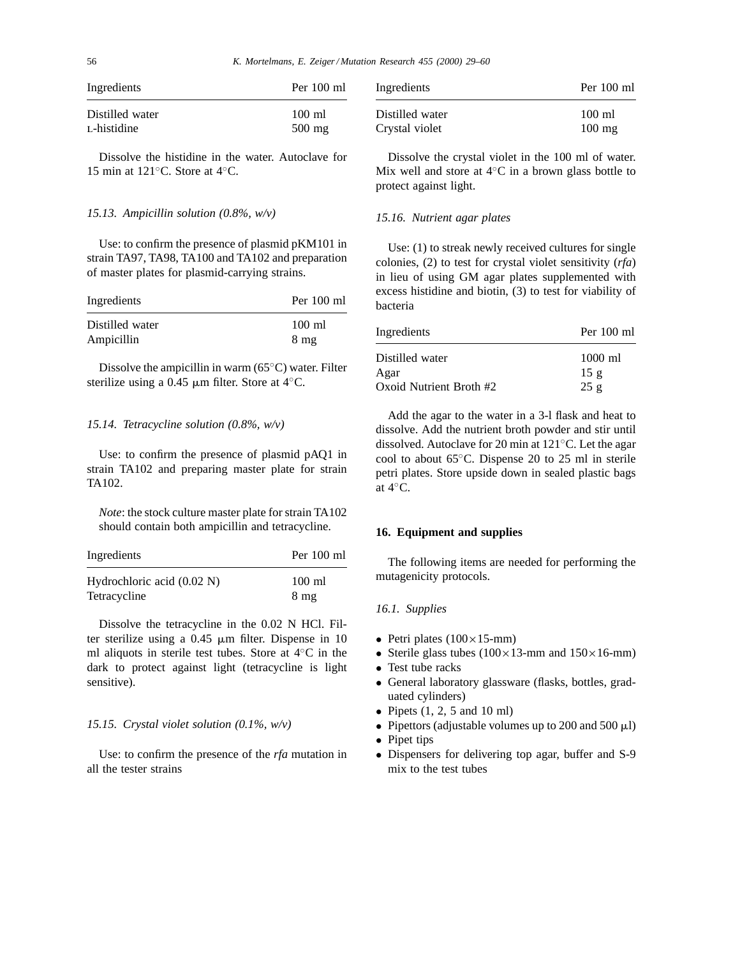| Ingredients     | Per 100 ml       |
|-----------------|------------------|
| Distilled water | 100 ml           |
| L-histidine     | $500 \text{ mg}$ |

Dissolve the histidine in the water. Autoclave for 15 min at 121◦C. Store at 4◦C.

# *15.13. Ampicillin solution (0.8%, w/v)*

Use: to confirm the presence of plasmid pKM101 in strain TA97, TA98, TA100 and TA102 and preparation of master plates for plasmid-carrying strains.

| Per 100 ml                         |
|------------------------------------|
| $100 \text{ ml}$<br>$8 \text{ mg}$ |
|                                    |

Dissolve the ampicillin in warm (65◦C) water. Filter sterilize using a 0.45  $\mu$ m filter. Store at 4 $°C$ .

#### *15.14. Tetracycline solution (0.8%, w/v)*

Use: to confirm the presence of plasmid pAQ1 in strain TA102 and preparing master plate for strain TA102.

*Note*: the stock culture master plate for strain TA102 should contain both ampicillin and tetracycline.

| Ingredients                          | Per 100 ml       |
|--------------------------------------|------------------|
| Hydrochloric acid $(0.02 \text{ N})$ | $100 \text{ ml}$ |
| Tetracycline                         | $8 \text{ mg}$   |

Dissolve the tetracycline in the 0.02 N HCl. Filter sterilize using a  $0.45 \mu m$  filter. Dispense in 10 ml aliquots in sterile test tubes. Store at 4◦C in the dark to protect against light (tetracycline is light sensitive).

## *15.15. Crystal violet solution (0.1%, w/v)*

Use: to confirm the presence of the *rfa* mutation in all the tester strains

| Ingredients     | Per 100 ml       |
|-----------------|------------------|
| Distilled water | $100 \text{ ml}$ |
| Crystal violet  | $100 \text{ mg}$ |

Dissolve the crystal violet in the 100 ml of water. Mix well and store at  $4°C$  in a brown glass bottle to protect against light.

## *15.16. Nutrient agar plates*

Use: (1) to streak newly received cultures for single colonies, (2) to test for crystal violet sensitivity (*rfa*) in lieu of using GM agar plates supplemented with excess histidine and biotin, (3) to test for viability of bacteria

| Ingredients             | Per 100 ml               |
|-------------------------|--------------------------|
| Distilled water<br>Agar | $1000 \text{ ml}$<br>15g |
| Oxoid Nutrient Broth #2 | 25g                      |

Add the agar to the water in a 3-l flask and heat to dissolve. Add the nutrient broth powder and stir until dissolved. Autoclave for 20 min at 121◦C. Let the agar cool to about 65◦C. Dispense 20 to 25 ml in sterile petri plates. Store upside down in sealed plastic bags at 4◦C.

## **16. Equipment and supplies**

The following items are needed for performing the mutagenicity protocols.

#### *16.1. Supplies*

- Petri plates  $(100 \times 15$ -mm)
- Sterile glass tubes  $(100 \times 13$ -mm and  $150 \times 16$ -mm)
- Test tube racks
- General laboratory glassware (flasks, bottles, graduated cylinders)
- Pipets  $(1, 2, 5 \text{ and } 10 \text{ ml})$
- Pipettors (adjustable volumes up to 200 and 500  $\mu$ l)
- Pipet tips
- Dispensers for delivering top agar, buffer and S-9 mix to the test tubes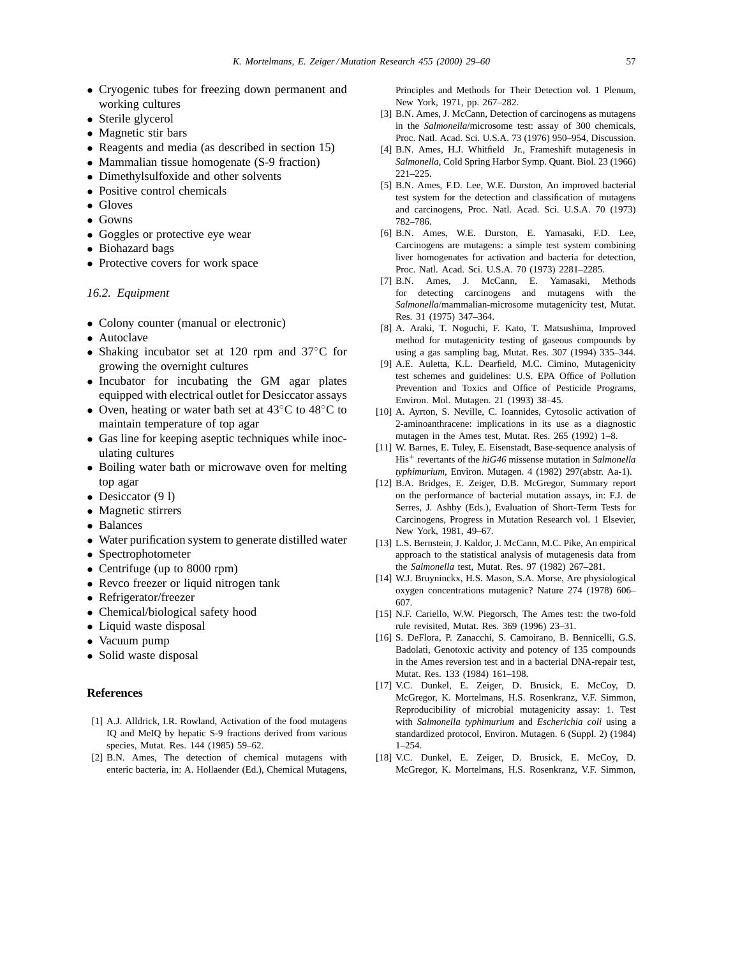- Cryogenic tubes for freezing down permanent and working cultures
- Sterile glycerol
- Magnetic stir bars
- Reagents and media (as described in section 15)
- Mammalian tissue homogenate (S-9 fraction)
- Dimethylsulfoxide and other solvents
- Positive control chemicals
- Gloves
- Gowns
- Goggles or protective eye wear
- Biohazard bags
- Protective covers for work space

# *16.2. Equipment*

- Colony counter (manual or electronic)
- Autoclave
- Shaking incubator set at 120 rpm and 37◦C for growing the overnight cultures
- Incubator for incubating the GM agar plates equipped with electrical outlet for Desiccator assays
- Oven, heating or water bath set at 43<sup>°</sup>C to 48<sup>°</sup>C to maintain temperature of top agar
- Gas line for keeping aseptic techniques while inoculating cultures
- Boiling water bath or microwave oven for melting top agar
- Desiccator (9 l)
- Magnetic stirrers
- Balances
- Water purification system to generate distilled water
- Spectrophotometer
- Centrifuge (up to 8000 rpm)
- Revco freezer or liquid nitrogen tank
- Refrigerator/freezer
- Chemical/biological safety hood
- Liquid waste disposal
- Vacuum pump
- Solid waste disposal

## **References**

- [1] A.J. Alldrick, I.R. Rowland, Activation of the food mutagens IQ and MeIQ by hepatic S-9 fractions derived from various species, Mutat. Res. 144 (1985) 59–62.
- [2] B.N. Ames, The detection of chemical mutagens with enteric bacteria, in: A. Hollaender (Ed.), Chemical Mutagens,

Principles and Methods for Their Detection vol. 1 Plenum, New York, 1971, pp. 267–282.

- [3] B.N. Ames, J. McCann, Detection of carcinogens as mutagens in the *Salmonella*/microsome test: assay of 300 chemicals, Proc. Natl. Acad. Sci. U.S.A. 73 (1976) 950–954, Discussion.
- [4] B.N. Ames, H.J. Whitfield Jr., Frameshift mutagenesis in *Salmonella*, Cold Spring Harbor Symp. Quant. Biol. 23 (1966) 221–225.
- [5] B.N. Ames, F.D. Lee, W.E. Durston, An improved bacterial test system for the detection and classification of mutagens and carcinogens, Proc. Natl. Acad. Sci. U.S.A. 70 (1973) 782–786.
- [6] B.N. Ames, W.E. Durston, E. Yamasaki, F.D. Lee, Carcinogens are mutagens: a simple test system combining liver homogenates for activation and bacteria for detection, Proc. Natl. Acad. Sci. U.S.A. 70 (1973) 2281–2285.
- [7] B.N. Ames, J. McCann, E. Yamasaki, Methods for detecting carcinogens and mutagens with the *Salmonella*/mammalian-microsome mutagenicity test, Mutat. Res. 31 (1975) 347–364.
- [8] A. Araki, T. Noguchi, F. Kato, T. Matsushima, Improved method for mutagenicity testing of gaseous compounds by using a gas sampling bag, Mutat. Res. 307 (1994) 335–344.
- [9] A.E. Auletta, K.L. Dearfield, M.C. Cimino, Mutagenicity test schemes and guidelines: U.S. EPA Office of Pollution Prevention and Toxics and Office of Pesticide Programs, Environ. Mol. Mutagen. 21 (1993) 38–45.
- [10] A. Ayrton, S. Neville, C. Ioannides, Cytosolic activation of 2-aminoanthracene: implications in its use as a diagnostic mutagen in the Ames test, Mutat. Res. 265 (1992) 1–8.
- [11] W. Barnes, E. Tuley, E. Eisenstadt, Base-sequence analysis of His+ revertants of the *hiG46* missense mutation in *Salmonella typhimurium*, Environ. Mutagen. 4 (1982) 297(abstr. Aa-1).
- [12] B.A. Bridges, E. Zeiger, D.B. McGregor, Summary report on the performance of bacterial mutation assays, in: F.J. de Serres, J. Ashby (Eds.), Evaluation of Short-Term Tests for Carcinogens, Progress in Mutation Research vol. 1 Elsevier, New York, 1981, 49–67.
- [13] L.S. Bernstein, J. Kaldor, J. McCann, M.C. Pike, An empirical approach to the statistical analysis of mutagenesis data from the *Salmonella* test, Mutat. Res. 97 (1982) 267–281.
- [14] W.J. Bruyninckx, H.S. Mason, S.A. Morse, Are physiological oxygen concentrations mutagenic? Nature 274 (1978) 606– 607.
- [15] N.F. Cariello, W.W. Piegorsch, The Ames test: the two-fold rule revisited, Mutat. Res. 369 (1996) 23–31.
- [16] S. DeFlora, P. Zanacchi, S. Camoirano, B. Bennicelli, G.S. Badolati, Genotoxic activity and potency of 135 compounds in the Ames reversion test and in a bacterial DNA-repair test, Mutat. Res. 133 (1984) 161–198.
- [17] V.C. Dunkel, E. Zeiger, D. Brusick, E. McCoy, D. McGregor, K. Mortelmans, H.S. Rosenkranz, V.F. Simmon, Reproducibility of microbial mutagenicity assay: 1. Test with *Salmonella typhimurium* and *Escherichia coli* using a standardized protocol, Environ. Mutagen. 6 (Suppl. 2) (1984) 1–254.
- [18] V.C. Dunkel, E. Zeiger, D. Brusick, E. McCoy, D. McGregor, K. Mortelmans, H.S. Rosenkranz, V.F. Simmon,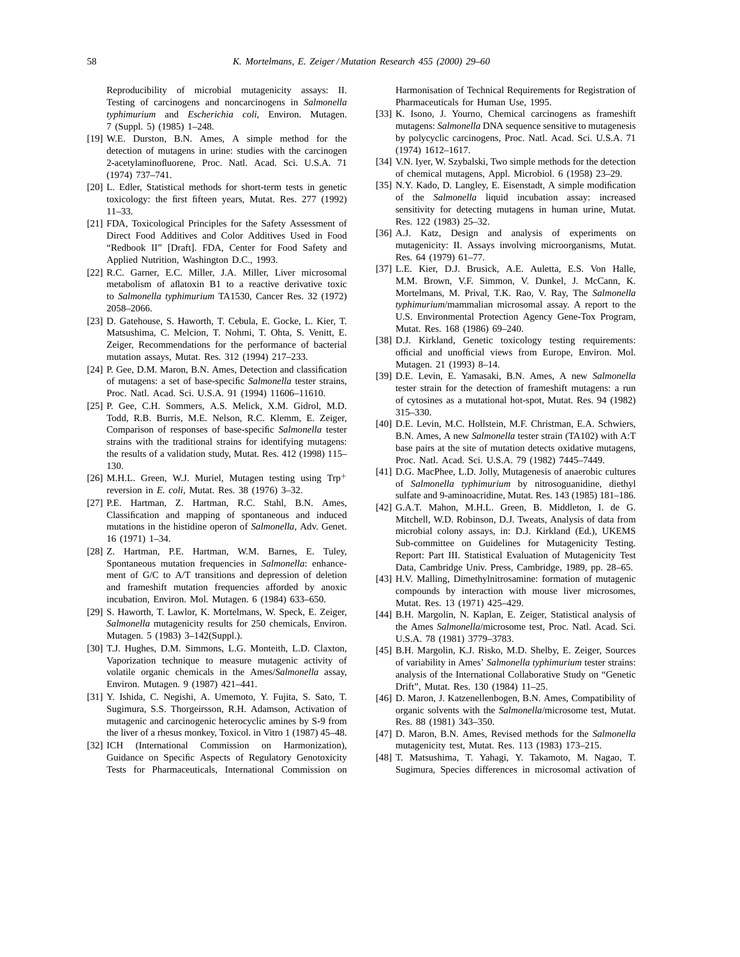Reproducibility of microbial mutagenicity assays: II. Testing of carcinogens and noncarcinogens in *Salmonella typhimurium* and *Escherichia coli*, Environ. Mutagen. 7 (Suppl. 5) (1985) 1–248.

- [19] W.E. Durston, B.N. Ames, A simple method for the detection of mutagens in urine: studies with the carcinogen 2-acetylaminofluorene, Proc. Natl. Acad. Sci. U.S.A. 71 (1974) 737–741.
- [20] L. Edler, Statistical methods for short-term tests in genetic toxicology: the first fifteen years, Mutat. Res. 277 (1992) 11–33.
- [21] FDA, Toxicological Principles for the Safety Assessment of Direct Food Additives and Color Additives Used in Food "Redbook II" [Draft]. FDA, Center for Food Safety and Applied Nutrition, Washington D.C., 1993.
- [22] R.C. Garner, E.C. Miller, J.A. Miller, Liver microsomal metabolism of aflatoxin B1 to a reactive derivative toxic to *Salmonella typhimurium* TA1530, Cancer Res. 32 (1972) 2058–2066.
- [23] D. Gatehouse, S. Haworth, T. Cebula, E. Gocke, L. Kier, T. Matsushima, C. Melcion, T. Nohmi, T. Ohta, S. Venitt, E. Zeiger, Recommendations for the performance of bacterial mutation assays, Mutat. Res. 312 (1994) 217–233.
- [24] P. Gee, D.M. Maron, B.N. Ames, Detection and classification of mutagens: a set of base-specific *Salmonella* tester strains, Proc. Natl. Acad. Sci. U.S.A. 91 (1994) 11606–11610.
- [25] P. Gee, C.H. Sommers, A.S. Melick, X.M. Gidrol, M.D. Todd, R.B. Burris, M.E. Nelson, R.C. Klemm, E. Zeiger, Comparison of responses of base-specific *Salmonella* tester strains with the traditional strains for identifying mutagens: the results of a validation study, Mutat. Res. 412 (1998) 115– 130.
- [26] M.H.L. Green, W.J. Muriel, Mutagen testing using Trp+ reversion in *E. coli*, Mutat. Res. 38 (1976) 3–32.
- [27] P.E. Hartman, Z. Hartman, R.C. Stahl, B.N. Ames, Classification and mapping of spontaneous and induced mutations in the histidine operon of *Salmonella*, Adv. Genet. 16 (1971) 1–34.
- [28] Z. Hartman, P.E. Hartman, W.M. Barnes, E. Tuley, Spontaneous mutation frequencies in *Salmonella*: enhancement of G/C to A/T transitions and depression of deletion and frameshift mutation frequencies afforded by anoxic incubation, Environ. Mol. Mutagen. 6 (1984) 633–650.
- [29] S. Haworth, T. Lawlor, K. Mortelmans, W. Speck, E. Zeiger, *Salmonella* mutagenicity results for 250 chemicals, Environ. Mutagen. 5 (1983) 3–142(Suppl.).
- [30] T.J. Hughes, D.M. Simmons, L.G. Monteith, L.D. Claxton, Vaporization technique to measure mutagenic activity of volatile organic chemicals in the Ames/*Salmonella* assay, Environ. Mutagen. 9 (1987) 421–441.
- [31] Y. Ishida, C. Negishi, A. Umemoto, Y. Fujita, S. Sato, T. Sugimura, S.S. Thorgeirsson, R.H. Adamson, Activation of mutagenic and carcinogenic heterocyclic amines by S-9 from the liver of a rhesus monkey, Toxicol. in Vitro 1 (1987) 45–48.
- [32] ICH (International Commission on Harmonization), Guidance on Specific Aspects of Regulatory Genotoxicity Tests for Pharmaceuticals, International Commission on

Harmonisation of Technical Requirements for Registration of Pharmaceuticals for Human Use, 1995.

- [33] K. Isono, J. Yourno, Chemical carcinogens as frameshift mutagens: *Salmonella* DNA sequence sensitive to mutagenesis by polycyclic carcinogens, Proc. Natl. Acad. Sci. U.S.A. 71 (1974) 1612–1617.
- [34] V.N. Iyer, W. Szybalski, Two simple methods for the detection of chemical mutagens, Appl. Microbiol. 6 (1958) 23–29.
- [35] N.Y. Kado, D. Langley, E. Eisenstadt, A simple modification of the *Salmonella* liquid incubation assay: increased sensitivity for detecting mutagens in human urine, Mutat. Res. 122 (1983) 25–32.
- [36] A.J. Katz, Design and analysis of experiments on mutagenicity: II. Assays involving microorganisms, Mutat. Res. 64 (1979) 61–77.
- [37] L.E. Kier, D.J. Brusick, A.E. Auletta, E.S. Von Halle, M.M. Brown, V.F. Simmon, V. Dunkel, J. McCann, K. Mortelmans, M. Prival, T.K. Rao, V. Ray, The *Salmonella typhimurium*/mammalian microsomal assay. A report to the U.S. Environmental Protection Agency Gene-Tox Program, Mutat. Res. 168 (1986) 69–240.
- [38] D.J. Kirkland, Genetic toxicology testing requirements: official and unofficial views from Europe, Environ. Mol. Mutagen. 21 (1993) 8–14.
- [39] D.E. Levin, E. Yamasaki, B.N. Ames, A new *Salmonella* tester strain for the detection of frameshift mutagens: a run of cytosines as a mutational hot-spot, Mutat. Res. 94 (1982) 315–330.
- [40] D.E. Levin, M.C. Hollstein, M.F. Christman, E.A. Schwiers, B.N. Ames, A new *Salmonella* tester strain (TA102) with A:T base pairs at the site of mutation detects oxidative mutagens, Proc. Natl. Acad. Sci. U.S.A. 79 (1982) 7445–7449.
- [41] D.G. MacPhee, L.D. Jolly, Mutagenesis of anaerobic cultures of *Salmonella typhimurium* by nitrosoguanidine, diethyl sulfate and 9-aminoacridine, Mutat. Res. 143 (1985) 181–186.
- [42] G.A.T. Mahon, M.H.L. Green, B. Middleton, I. de G. Mitchell, W.D. Robinson, D.J. Tweats, Analysis of data from microbial colony assays, in: D.J. Kirkland (Ed.), UKEMS Sub-committee on Guidelines for Mutagenicity Testing. Report: Part III. Statistical Evaluation of Mutagenicity Test Data, Cambridge Univ. Press, Cambridge, 1989, pp. 28–65.
- [43] H.V. Malling, Dimethylnitrosamine: formation of mutagenic compounds by interaction with mouse liver microsomes, Mutat. Res. 13 (1971) 425–429.
- [44] B.H. Margolin, N. Kaplan, E. Zeiger, Statistical analysis of the Ames *Salmonella*/microsome test, Proc. Natl. Acad. Sci. U.S.A. 78 (1981) 3779–3783.
- [45] B.H. Margolin, K.J. Risko, M.D. Shelby, E. Zeiger, Sources of variability in Ames' *Salmonella typhimurium* tester strains: analysis of the International Collaborative Study on "Genetic Drift", Mutat. Res. 130 (1984) 11–25.
- [46] D. Maron, J. Katzenellenbogen, B.N. Ames, Compatibility of organic solvents with the *Salmonella*/microsome test, Mutat. Res. 88 (1981) 343–350.
- [47] D. Maron, B.N. Ames, Revised methods for the *Salmonella* mutagenicity test, Mutat. Res. 113 (1983) 173–215.
- [48] T. Matsushima, T. Yahagi, Y. Takamoto, M. Nagao, T. Sugimura, Species differences in microsomal activation of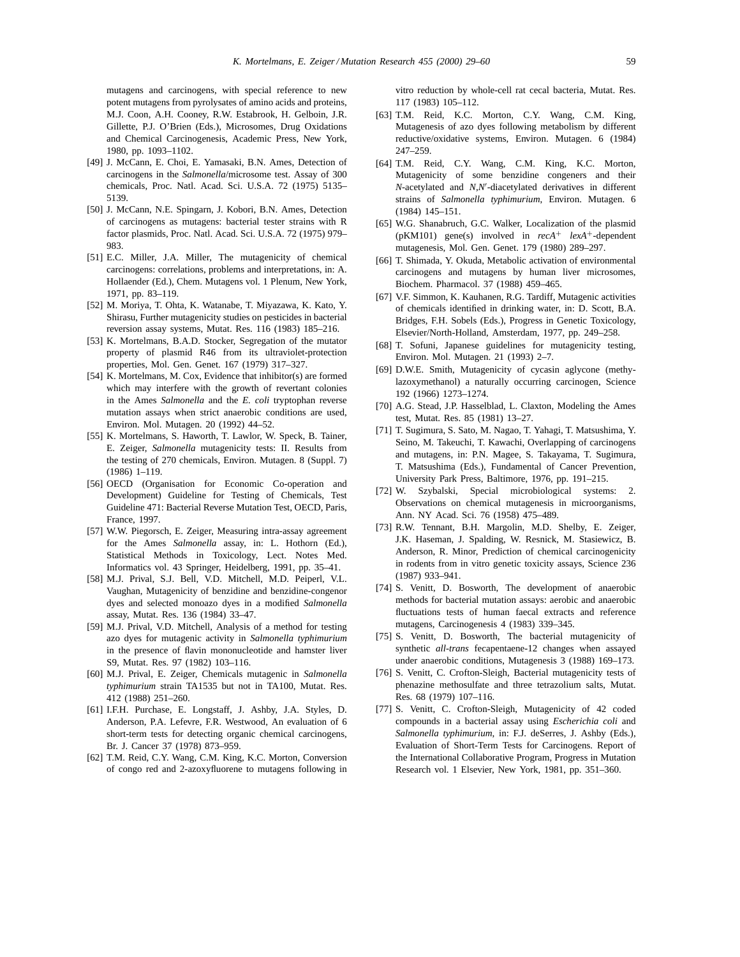mutagens and carcinogens, with special reference to new potent mutagens from pyrolysates of amino acids and proteins, M.J. Coon, A.H. Cooney, R.W. Estabrook, H. Gelboin, J.R. Gillette, P.J. O'Brien (Eds.), Microsomes, Drug Oxidations and Chemical Carcinogenesis, Academic Press, New York, 1980, pp. 1093–1102.

- [49] J. McCann, E. Choi, E. Yamasaki, B.N. Ames, Detection of carcinogens in the *Salmonella*/microsome test. Assay of 300 chemicals, Proc. Natl. Acad. Sci. U.S.A. 72 (1975) 5135– 5139.
- [50] J. McCann, N.E. Spingarn, J. Kobori, B.N. Ames, Detection of carcinogens as mutagens: bacterial tester strains with R factor plasmids, Proc. Natl. Acad. Sci. U.S.A. 72 (1975) 979– 983.
- [51] E.C. Miller, J.A. Miller, The mutagenicity of chemical carcinogens: correlations, problems and interpretations, in: A. Hollaender (Ed.), Chem. Mutagens vol. 1 Plenum, New York, 1971, pp. 83–119.
- [52] M. Moriya, T. Ohta, K. Watanabe, T. Miyazawa, K. Kato, Y. Shirasu, Further mutagenicity studies on pesticides in bacterial reversion assay systems, Mutat. Res. 116 (1983) 185–216.
- [53] K. Mortelmans, B.A.D. Stocker, Segregation of the mutator property of plasmid R46 from its ultraviolet-protection properties, Mol. Gen. Genet. 167 (1979) 317–327.
- [54] K. Mortelmans, M. Cox, Evidence that inhibitor(s) are formed which may interfere with the growth of revertant colonies in the Ames *Salmonella* and the *E. coli* tryptophan reverse mutation assays when strict anaerobic conditions are used, Environ. Mol. Mutagen. 20 (1992) 44–52.
- [55] K. Mortelmans, S. Haworth, T. Lawlor, W. Speck, B. Tainer, E. Zeiger, *Salmonella* mutagenicity tests: II. Results from the testing of 270 chemicals, Environ. Mutagen. 8 (Suppl. 7) (1986) 1–119.
- [56] OECD (Organisation for Economic Co-operation and Development) Guideline for Testing of Chemicals, Test Guideline 471: Bacterial Reverse Mutation Test, OECD, Paris, France, 1997.
- [57] W.W. Piegorsch, E. Zeiger, Measuring intra-assay agreement for the Ames *Salmonella* assay, in: L. Hothorn (Ed.), Statistical Methods in Toxicology, Lect. Notes Med. Informatics vol. 43 Springer, Heidelberg, 1991, pp. 35–41.
- [58] M.J. Prival, S.J. Bell, V.D. Mitchell, M.D. Peiperl, V.L. Vaughan, Mutagenicity of benzidine and benzidine-congenor dyes and selected monoazo dyes in a modified *Salmonella* assay, Mutat. Res. 136 (1984) 33–47.
- [59] M.J. Prival, V.D. Mitchell, Analysis of a method for testing azo dyes for mutagenic activity in *Salmonella typhimurium* in the presence of flavin mononucleotide and hamster liver S9, Mutat. Res. 97 (1982) 103–116.
- [60] M.J. Prival, E. Zeiger, Chemicals mutagenic in *Salmonella typhimurium* strain TA1535 but not in TA100, Mutat. Res. 412 (1988) 251–260.
- [61] I.F.H. Purchase, E. Longstaff, J. Ashby, J.A. Styles, D. Anderson, P.A. Lefevre, F.R. Westwood, An evaluation of 6 short-term tests for detecting organic chemical carcinogens, Br. J. Cancer 37 (1978) 873–959.
- [62] T.M. Reid, C.Y. Wang, C.M. King, K.C. Morton, Conversion of congo red and 2-azoxyfluorene to mutagens following in

vitro reduction by whole-cell rat cecal bacteria, Mutat. Res. 117 (1983) 105–112.

- [63] T.M. Reid, K.C. Morton, C.Y. Wang, C.M. King, Mutagenesis of azo dyes following metabolism by different reductive/oxidative systems, Environ. Mutagen. 6 (1984) 247–259.
- [64] T.M. Reid, C.Y. Wang, C.M. King, K.C. Morton, Mutagenicity of some benzidine congeners and their *N*-acetylated and *N*,*N*<sup> $\prime$ </sup>-diacetylated derivatives in different strains of *Salmonella typhimurium*, Environ. Mutagen. 6 (1984) 145–151.
- [65] W.G. Shanabruch, G.C. Walker, Localization of the plasmid (pKM101) gene(s) involved in *recA*+ *lexA*+-dependent mutagenesis, Mol. Gen. Genet. 179 (1980) 289–297.
- [66] T. Shimada, Y. Okuda, Metabolic activation of environmental carcinogens and mutagens by human liver microsomes, Biochem. Pharmacol. 37 (1988) 459–465.
- [67] V.F. Simmon, K. Kauhanen, R.G. Tardiff, Mutagenic activities of chemicals identified in drinking water, in: D. Scott, B.A. Bridges, F.H. Sobels (Eds.), Progress in Genetic Toxicology, Elsevier/North-Holland, Amsterdam, 1977, pp. 249–258.
- [68] T. Sofuni, Japanese guidelines for mutagenicity testing, Environ. Mol. Mutagen. 21 (1993) 2–7.
- [69] D.W.E. Smith, Mutagenicity of cycasin aglycone (methylazoxymethanol) a naturally occurring carcinogen, Science 192 (1966) 1273–1274.
- [70] A.G. Stead, J.P. Hasselblad, L. Claxton, Modeling the Ames test, Mutat. Res. 85 (1981) 13–27.
- [71] T. Sugimura, S. Sato, M. Nagao, T. Yahagi, T. Matsushima, Y. Seino, M. Takeuchi, T. Kawachi, Overlapping of carcinogens and mutagens, in: P.N. Magee, S. Takayama, T. Sugimura, T. Matsushima (Eds.), Fundamental of Cancer Prevention, University Park Press, Baltimore, 1976, pp. 191–215.
- [72] W. Szybalski, Special microbiological systems: 2. Observations on chemical mutagenesis in microorganisms, Ann. NY Acad. Sci. 76 (1958) 475–489.
- [73] R.W. Tennant, B.H. Margolin, M.D. Shelby, E. Zeiger, J.K. Haseman, J. Spalding, W. Resnick, M. Stasiewicz, B. Anderson, R. Minor, Prediction of chemical carcinogenicity in rodents from in vitro genetic toxicity assays, Science 236 (1987) 933–941.
- [74] S. Venitt, D. Bosworth, The development of anaerobic methods for bacterial mutation assays: aerobic and anaerobic fluctuations tests of human faecal extracts and reference mutagens, Carcinogenesis 4 (1983) 339–345.
- [75] S. Venitt, D. Bosworth, The bacterial mutagenicity of synthetic *all-trans* fecapentaene-12 changes when assayed under anaerobic conditions, Mutagenesis 3 (1988) 169–173.
- [76] S. Venitt, C. Crofton-Sleigh, Bacterial mutagenicity tests of phenazine methosulfate and three tetrazolium salts, Mutat. Res. 68 (1979) 107–116.
- [77] S. Venitt, C. Crofton-Sleigh, Mutagenicity of 42 coded compounds in a bacterial assay using *Escherichia coli* and *Salmonella typhimurium*, in: F.J. deSerres, J. Ashby (Eds.), Evaluation of Short-Term Tests for Carcinogens. Report of the International Collaborative Program, Progress in Mutation Research vol. 1 Elsevier, New York, 1981, pp. 351–360.